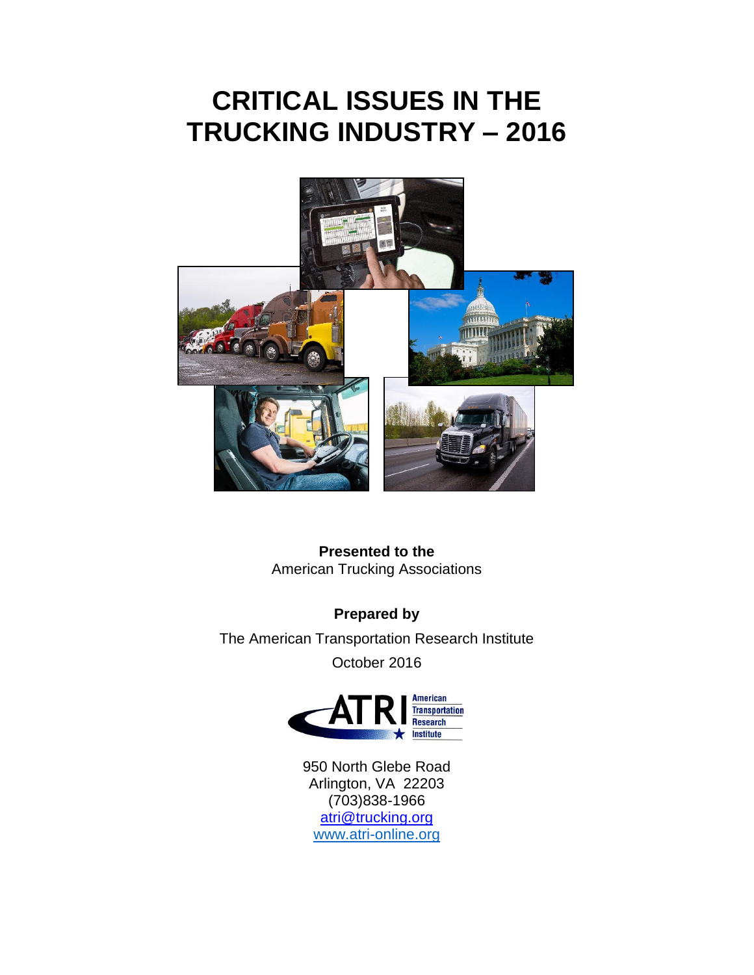# **CRITICAL ISSUES IN THE TRUCKING INDUSTRY – 2016**



**Presented to the** American Trucking Associations

**Prepared by** The American Transportation Research Institute October 2016



950 North Glebe Road Arlington, VA 22203 (703)838-1966 [atri@trucking.org](mailto:atri@trucking.org) [www.atri-online.org](http://www.atri-online.org/)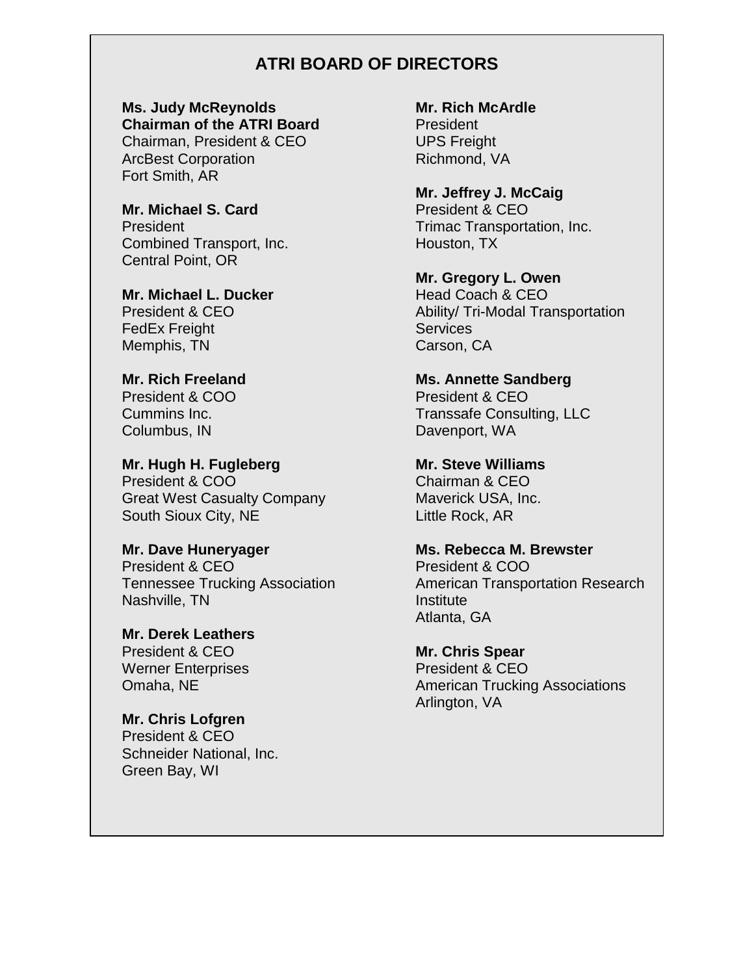## **ATRI BOARD OF DIRECTORS**

**Ms. Judy McReynolds Chairman of the ATRI Board** Chairman, President & CEO ArcBest Corporation

Fort Smith, AR

**Mr. Michael S. Card** President Combined Transport, Inc. Central Point, OR

**Mr. Michael L. Ducker** President & CEO FedEx Freight Memphis, TN

**Mr. Rich Freeland** President & COO Cummins Inc. Columbus, IN

**Mr. Hugh H. Fugleberg** President & COO Great West Casualty Company South Sioux City, NE

**Mr. Dave Huneryager** President & CEO Tennessee Trucking Association Nashville, TN

**Mr. Derek Leathers** President & CEO Werner Enterprises Omaha, NE

**Mr. Chris Lofgren** President & CEO Schneider National, Inc. Green Bay, WI

**Mr. Rich McArdle** President UPS Freight

Richmond, VA

**Mr. Jeffrey J. McCaig** President & CEO Trimac Transportation, Inc. Houston, TX

**Mr. Gregory L. Owen** Head Coach & CEO Ability/ Tri-Modal Transportation **Services** Carson, CA

**Ms. Annette Sandberg** President & CEO Transsafe Consulting, LLC Davenport, WA

**Mr. Steve Williams** Chairman & CEO Maverick USA, Inc. Little Rock, AR

**Ms. Rebecca M. Brewster** President & COO American Transportation Research Institute Atlanta, GA

**Mr. Chris Spear** President & CEO American Trucking Associations Arlington, VA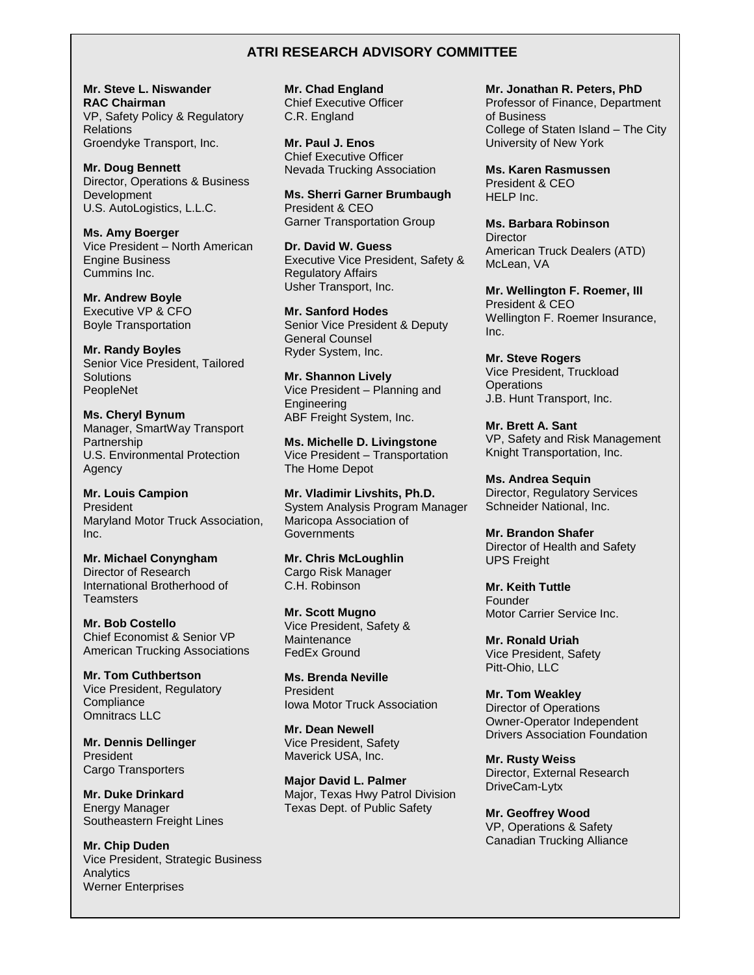#### **ATRI RESEARCH ADVISORY COMMITTEE**

**Mr. Steve L. Niswander RAC Chairman** VP, Safety Policy & Regulatory **Relations** Groendyke Transport, Inc.

**Mr. Doug Bennett** Director, Operations & Business Development U.S. AutoLogistics, L.L.C.

**Ms. Amy Boerger** Vice President – North American Engine Business Cummins Inc.

**Mr. Andrew Boyle** Executive VP & CFO Boyle Transportation

**Mr. Randy Boyles** Senior Vice President, Tailored **Solutions** PeopleNet

**Ms. Cheryl Bynum** Manager, SmartWay Transport Partnership U.S. Environmental Protection Agency

**Mr. Louis Campion** President Maryland Motor Truck Association, Inc.

**Mr. Michael Conyngham** Director of Research International Brotherhood of **Teamsters** 

**Mr. Bob Costello** Chief Economist & Senior VP American Trucking Associations

**Mr. Tom Cuthbertson** Vice President, Regulatory **Compliance** Omnitracs LLC

**Mr. Dennis Dellinger** President Cargo Transporters

**Mr. Duke Drinkard** Energy Manager Southeastern Freight Lines

**Mr. Chip Duden** Vice President, Strategic Business **Analytics** Werner Enterprises

**Mr. Chad England** Chief Executive Officer C.R. England

**Mr. Paul J. Enos** Chief Executive Officer Nevada Trucking Association

**Ms. Sherri Garner Brumbaugh** President & CEO Garner Transportation Group

**Dr. David W. Guess** Executive Vice President, Safety & Regulatory Affairs Usher Transport, Inc.

**Mr. Sanford Hodes** Senior Vice President & Deputy General Counsel Ryder System, Inc.

**Mr. Shannon Lively** Vice President – Planning and Engineering ABF Freight System, Inc.

**Ms. Michelle D. Livingstone** Vice President – Transportation The Home Depot

**Mr. Vladimir Livshits, Ph.D.** System Analysis Program Manager Maricopa Association of **Governments** 

**Mr. Chris McLoughlin** Cargo Risk Manager C.H. Robinson

**Mr. Scott Mugno** Vice President, Safety & Maintenance FedEx Ground

**Ms. Brenda Neville** President Iowa Motor Truck Association

**Mr. Dean Newell** Vice President, Safety Maverick USA, Inc.

**Major David L. Palmer** Major, Texas Hwy Patrol Division Texas Dept. of Public Safety

**Mr. Jonathan R. Peters, PhD** Professor of Finance, Department of Business College of Staten Island – The City University of New York

**Ms. Karen Rasmussen** President & CEO HELP Inc.

**Ms. Barbara Robinson Director** American Truck Dealers (ATD) McLean, VA

**Mr. Wellington F. Roemer, III** President & CEO Wellington F. Roemer Insurance, Inc.

**Mr. Steve Rogers** Vice President, Truckload **Operations** J.B. Hunt Transport, Inc.

**Mr. Brett A. Sant** VP, Safety and Risk Management Knight Transportation, Inc.

**Ms. Andrea Sequin** Director, Regulatory Services Schneider National, Inc.

**Mr. Brandon Shafer** Director of Health and Safety UPS Freight

**Mr. Keith Tuttle** Founder Motor Carrier Service Inc.

**Mr. Ronald Uriah** Vice President, Safety Pitt-Ohio, LLC

**Mr. Tom Weakley**  Director of Operations Owner-Operator Independent Drivers Association Foundation

**Mr. Rusty Weiss** Director, External Research DriveCam-Lytx

**Mr. Geoffrey Wood** VP, Operations & Safety Canadian Trucking Alliance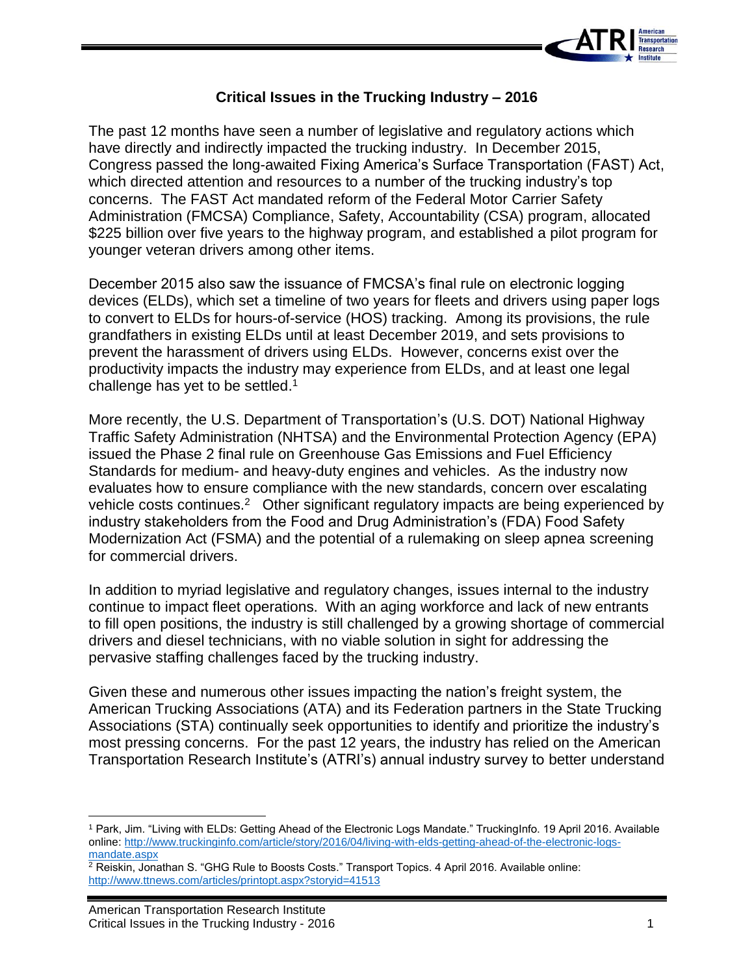

## **Critical Issues in the Trucking Industry – 2016**

The past 12 months have seen a number of legislative and regulatory actions which have directly and indirectly impacted the trucking industry. In December 2015, Congress passed the long-awaited Fixing America's Surface Transportation (FAST) Act, which directed attention and resources to a number of the trucking industry's top concerns. The FAST Act mandated reform of the Federal Motor Carrier Safety Administration (FMCSA) Compliance, Safety, Accountability (CSA) program, allocated \$225 billion over five years to the highway program, and established a pilot program for younger veteran drivers among other items.

December 2015 also saw the issuance of FMCSA's final rule on electronic logging devices (ELDs), which set a timeline of two years for fleets and drivers using paper logs to convert to ELDs for hours-of-service (HOS) tracking. Among its provisions, the rule grandfathers in existing ELDs until at least December 2019, and sets provisions to prevent the harassment of drivers using ELDs. However, concerns exist over the productivity impacts the industry may experience from ELDs, and at least one legal challenge has yet to be settled.<sup>1</sup>

More recently, the U.S. Department of Transportation's (U.S. DOT) National Highway Traffic Safety Administration (NHTSA) and the Environmental Protection Agency (EPA) issued the Phase 2 final rule on Greenhouse Gas Emissions and Fuel Efficiency Standards for medium- and heavy-duty engines and vehicles. As the industry now evaluates how to ensure compliance with the new standards, concern over escalating vehicle costs continues.<sup>2</sup> Other significant regulatory impacts are being experienced by industry stakeholders from the Food and Drug Administration's (FDA) Food Safety Modernization Act (FSMA) and the potential of a rulemaking on sleep apnea screening for commercial drivers.

In addition to myriad legislative and regulatory changes, issues internal to the industry continue to impact fleet operations. With an aging workforce and lack of new entrants to fill open positions, the industry is still challenged by a growing shortage of commercial drivers and diesel technicians, with no viable solution in sight for addressing the pervasive staffing challenges faced by the trucking industry.

Given these and numerous other issues impacting the nation's freight system, the American Trucking Associations (ATA) and its Federation partners in the State Trucking Associations (STA) continually seek opportunities to identify and prioritize the industry's most pressing concerns. For the past 12 years, the industry has relied on the American Transportation Research Institute's (ATRI's) annual industry survey to better understand

l <sup>1</sup> Park, Jim. "Living with ELDs: Getting Ahead of the Electronic Logs Mandate." TruckingInfo. 19 April 2016. Available online: [http://www.truckinginfo.com/article/story/2016/04/living-with-elds-getting-ahead-of-the-electronic-logs](http://www.truckinginfo.com/article/story/2016/04/living-with-elds-getting-ahead-of-the-electronic-logs-mandate.aspx)[mandate.aspx](http://www.truckinginfo.com/article/story/2016/04/living-with-elds-getting-ahead-of-the-electronic-logs-mandate.aspx)

<sup>2</sup> Reiskin, Jonathan S. "GHG Rule to Boosts Costs." Transport Topics. 4 April 2016. Available online: <http://www.ttnews.com/articles/printopt.aspx?storyid=41513>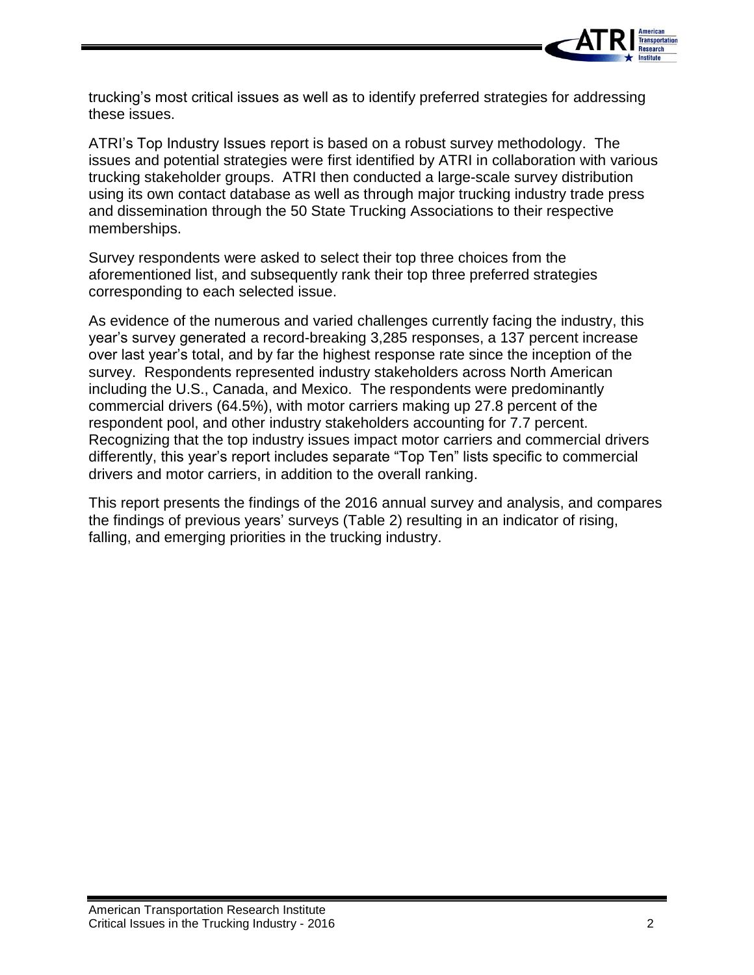

trucking's most critical issues as well as to identify preferred strategies for addressing these issues.

ATRI's Top Industry Issues report is based on a robust survey methodology. The issues and potential strategies were first identified by ATRI in collaboration with various trucking stakeholder groups. ATRI then conducted a large-scale survey distribution using its own contact database as well as through major trucking industry trade press and dissemination through the 50 State Trucking Associations to their respective memberships.

Survey respondents were asked to select their top three choices from the aforementioned list, and subsequently rank their top three preferred strategies corresponding to each selected issue.

As evidence of the numerous and varied challenges currently facing the industry, this year's survey generated a record-breaking 3,285 responses, a 137 percent increase over last year's total, and by far the highest response rate since the inception of the survey. Respondents represented industry stakeholders across North American including the U.S., Canada, and Mexico. The respondents were predominantly commercial drivers (64.5%), with motor carriers making up 27.8 percent of the respondent pool, and other industry stakeholders accounting for 7.7 percent. Recognizing that the top industry issues impact motor carriers and commercial drivers differently, this year's report includes separate "Top Ten" lists specific to commercial drivers and motor carriers, in addition to the overall ranking.

This report presents the findings of the 2016 annual survey and analysis, and compares the findings of previous years' surveys (Table 2) resulting in an indicator of rising, falling, and emerging priorities in the trucking industry.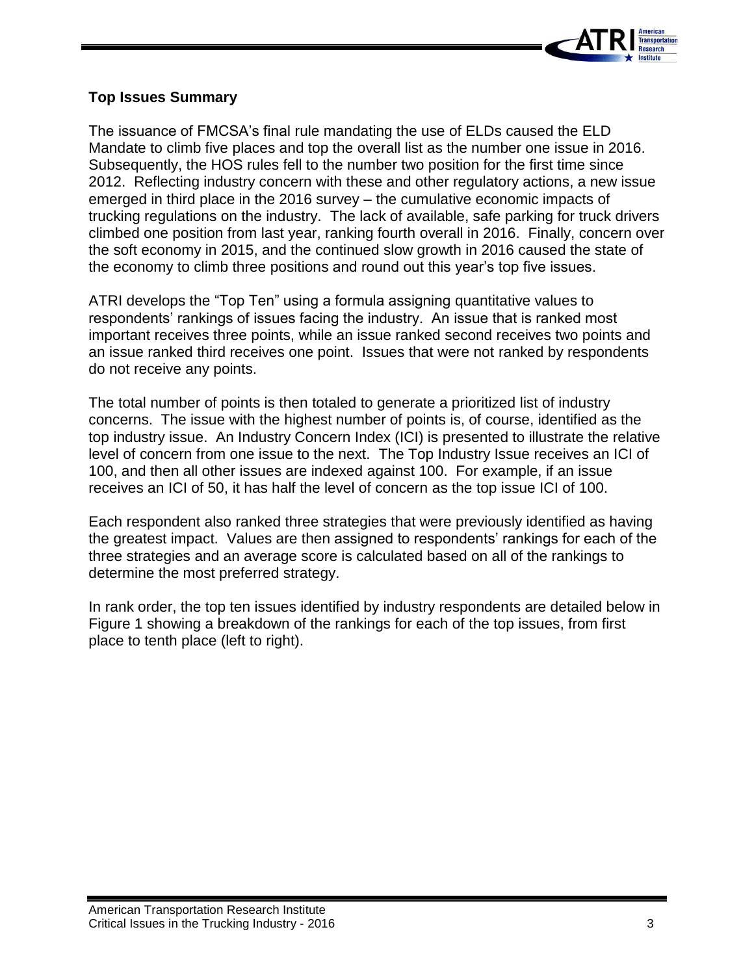

## **Top Issues Summary**

The issuance of FMCSA's final rule mandating the use of ELDs caused the ELD Mandate to climb five places and top the overall list as the number one issue in 2016. Subsequently, the HOS rules fell to the number two position for the first time since 2012. Reflecting industry concern with these and other regulatory actions, a new issue emerged in third place in the 2016 survey – the cumulative economic impacts of trucking regulations on the industry. The lack of available, safe parking for truck drivers climbed one position from last year, ranking fourth overall in 2016. Finally, concern over the soft economy in 2015, and the continued slow growth in 2016 caused the state of the economy to climb three positions and round out this year's top five issues.

ATRI develops the "Top Ten" using a formula assigning quantitative values to respondents' rankings of issues facing the industry. An issue that is ranked most important receives three points, while an issue ranked second receives two points and an issue ranked third receives one point. Issues that were not ranked by respondents do not receive any points.

The total number of points is then totaled to generate a prioritized list of industry concerns. The issue with the highest number of points is, of course, identified as the top industry issue. An Industry Concern Index (ICI) is presented to illustrate the relative level of concern from one issue to the next. The Top Industry Issue receives an ICI of 100, and then all other issues are indexed against 100. For example, if an issue receives an ICI of 50, it has half the level of concern as the top issue ICI of 100.

Each respondent also ranked three strategies that were previously identified as having the greatest impact. Values are then assigned to respondents' rankings for each of the three strategies and an average score is calculated based on all of the rankings to determine the most preferred strategy.

In rank order, the top ten issues identified by industry respondents are detailed below in Figure 1 showing a breakdown of the rankings for each of the top issues, from first place to tenth place (left to right).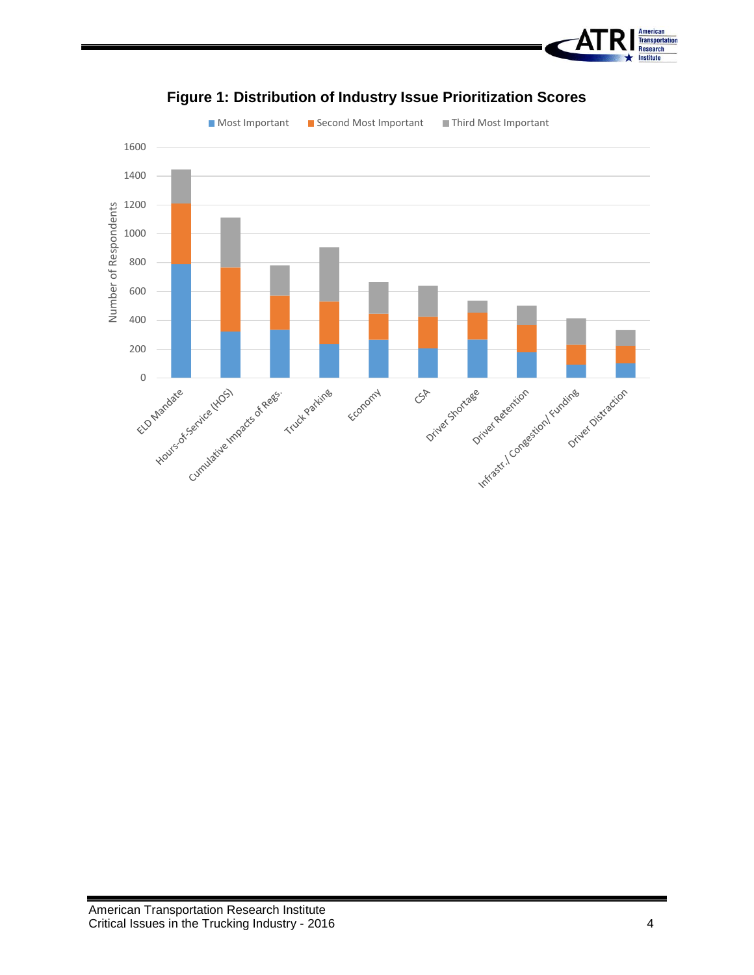



## **Figure 1: Distribution of Industry Issue Prioritization Scores**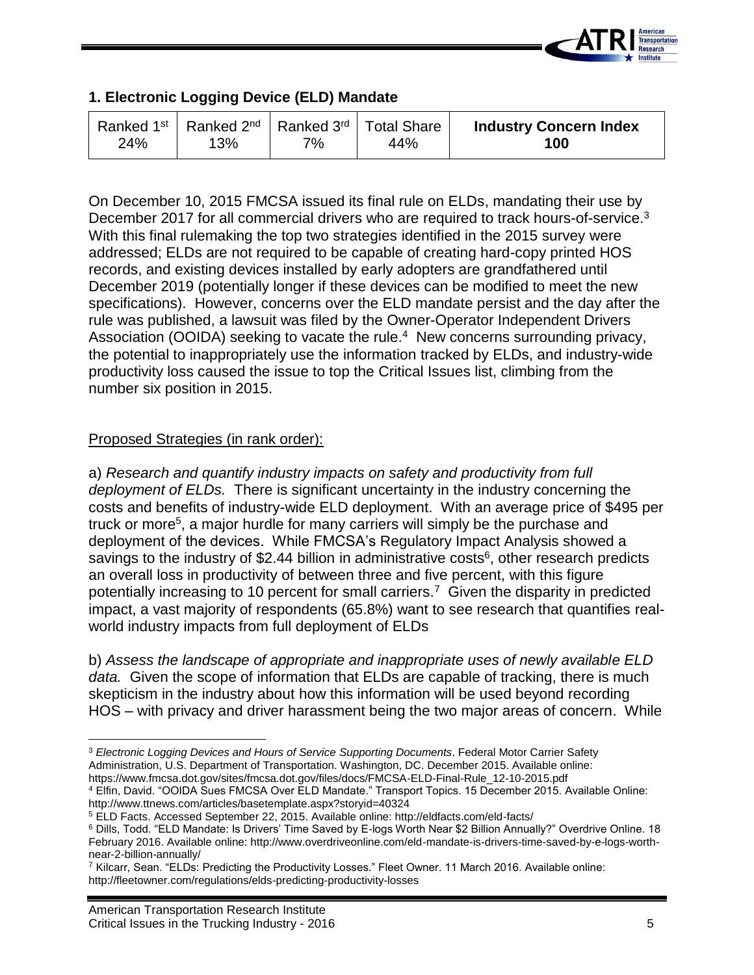

## **1. Electronic Logging Device (ELD) Mandate**

| Ranked 1 <sup>st</sup> Ranked 2 <sup>nd</sup> Ranked 3 <sup>rd</sup> Total Share<br>24% | 13% | 7% | 44% | <b>Industry Concern Index</b><br>100 |
|-----------------------------------------------------------------------------------------|-----|----|-----|--------------------------------------|
|-----------------------------------------------------------------------------------------|-----|----|-----|--------------------------------------|

On December 10, 2015 FMCSA issued its final rule on ELDs, mandating their use by December 2017 for all commercial drivers who are required to track hours-of-service.<sup>3</sup> With this final rulemaking the top two strategies identified in the 2015 survey were addressed; ELDs are not required to be capable of creating hard-copy printed HOS records, and existing devices installed by early adopters are grandfathered until December 2019 (potentially longer if these devices can be modified to meet the new specifications). However, concerns over the ELD mandate persist and the day after the rule was published, a lawsuit was filed by the Owner-Operator Independent Drivers Association (OOIDA) seeking to vacate the rule.<sup>4</sup> New concerns surrounding privacy, the potential to inappropriately use the information tracked by ELDs, and industry-wide productivity loss caused the issue to top the Critical Issues list, climbing from the number six position in 2015.

## Proposed Strategies (in rank order):

a) *Research and quantify industry impacts on safety and productivity from full deployment of ELDs.* There is significant uncertainty in the industry concerning the costs and benefits of industry-wide ELD deployment. With an average price of \$495 per truck or more<sup>5</sup>, a major hurdle for many carriers will simply be the purchase and deployment of the devices. While FMCSA's Regulatory Impact Analysis showed a savings to the industry of \$2.44 billion in administrative costs<sup>6</sup>, other research predicts an overall loss in productivity of between three and five percent, with this figure potentially increasing to 10 percent for small carriers.<sup>7</sup> Given the disparity in predicted impact, a vast majority of respondents (65.8%) want to see research that quantifies realworld industry impacts from full deployment of ELDs

b) *Assess the landscape of appropriate and inappropriate uses of newly available ELD data.* Given the scope of information that ELDs are capable of tracking, there is much skepticism in the industry about how this information will be used beyond recording HOS – with privacy and driver harassment being the two major areas of concern. While

<sup>4</sup> Elfin, David. "OOIDA Sues FMCSA Over ELD Mandate." Transport Topics. 15 December 2015. Available Online: http://www.ttnews.com/articles/basetemplate.aspx?storyid=40324

 $\overline{\phantom{a}}$ <sup>3</sup> *Electronic Logging Devices and Hours of Service Supporting Documents*. Federal Motor Carrier Safety Administration, U.S. Department of Transportation. Washington, DC. December 2015. Available online: https://www.fmcsa.dot.gov/sites/fmcsa.dot.gov/files/docs/FMCSA-ELD-Final-Rule\_12-10-2015.pdf

<sup>5</sup> ELD Facts. Accessed September 22, 2015. Available online: http://eldfacts.com/eld-facts/

<sup>6</sup> Dills, Todd. "ELD Mandate: Is Drivers' Time Saved by E-logs Worth Near \$2 Billion Annually?" Overdrive Online. 18 February 2016. Available online: http://www.overdriveonline.com/eld-mandate-is-drivers-time-saved-by-e-logs-worthnear-2-billion-annually/

<sup>7</sup> Kilcarr, Sean. "ELDs: Predicting the Productivity Losses." Fleet Owner. 11 March 2016. Available online: http://fleetowner.com/regulations/elds-predicting-productivity-losses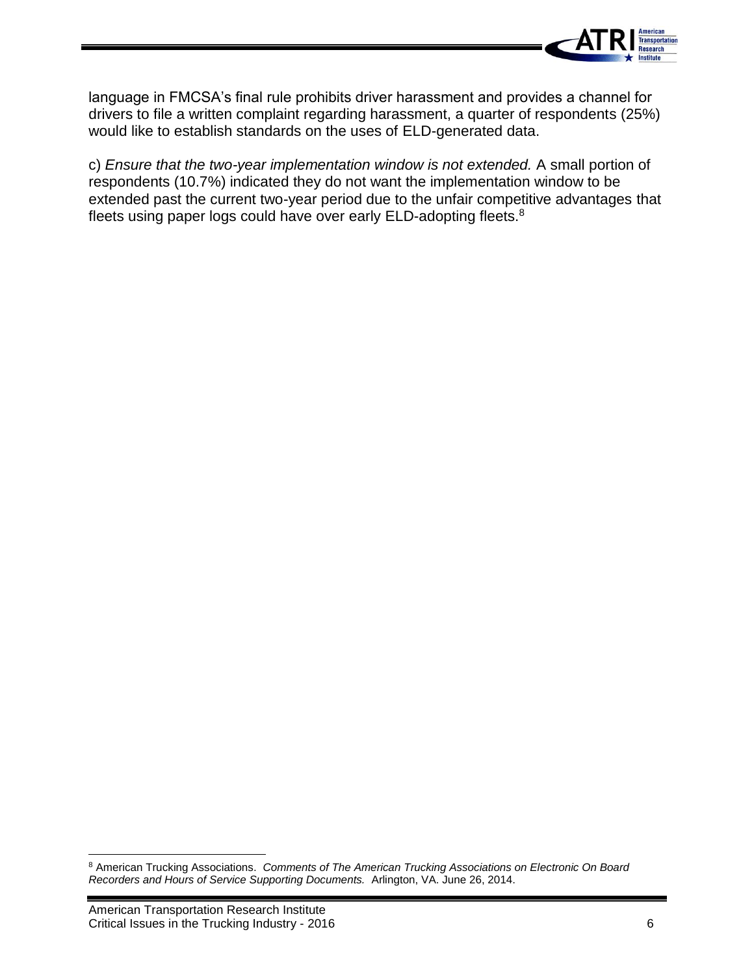

language in FMCSA's final rule prohibits driver harassment and provides a channel for drivers to file a written complaint regarding harassment, a quarter of respondents (25%) would like to establish standards on the uses of ELD-generated data.

c) *Ensure that the two-year implementation window is not extended.* A small portion of respondents (10.7%) indicated they do not want the implementation window to be extended past the current two-year period due to the unfair competitive advantages that fleets using paper logs could have over early ELD-adopting fleets.<sup>8</sup>

 $\overline{a}$ 

<sup>8</sup> American Trucking Associations. *Comments of The American Trucking Associations on Electronic On Board Recorders and Hours of Service Supporting Documents.* Arlington, VA. June 26, 2014.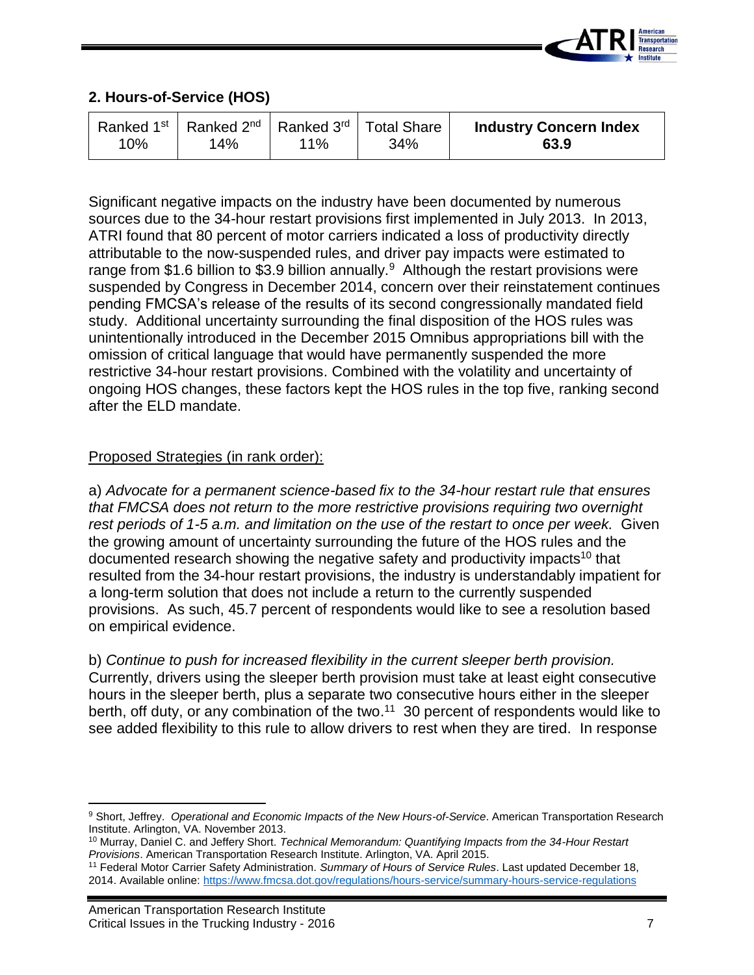

## **2. Hours-of-Service (HOS)**

| 10% | Ranked 1 <sup>st</sup>   Ranked 2 <sup>nd</sup>   Ranked 3 <sup>rd</sup>   Total Share<br>14% | <u> 11% </u> | 34% | <b>Industry Concern Index</b><br>63.9 |
|-----|-----------------------------------------------------------------------------------------------|--------------|-----|---------------------------------------|
|-----|-----------------------------------------------------------------------------------------------|--------------|-----|---------------------------------------|

Significant negative impacts on the industry have been documented by numerous sources due to the 34-hour restart provisions first implemented in July 2013. In 2013, ATRI found that 80 percent of motor carriers indicated a loss of productivity directly attributable to the now-suspended rules, and driver pay impacts were estimated to range from \$1.6 billion to \$3.9 billion annually.<sup>9</sup> Although the restart provisions were suspended by Congress in December 2014, concern over their reinstatement continues pending FMCSA's release of the results of its second congressionally mandated field study. Additional uncertainty surrounding the final disposition of the HOS rules was unintentionally introduced in the December 2015 Omnibus appropriations bill with the omission of critical language that would have permanently suspended the more restrictive 34-hour restart provisions. Combined with the volatility and uncertainty of ongoing HOS changes, these factors kept the HOS rules in the top five, ranking second after the ELD mandate.

## Proposed Strategies (in rank order):

a) *Advocate for a permanent science-based fix to the 34-hour restart rule that ensures that FMCSA does not return to the more restrictive provisions requiring two overnight rest periods of 1-5 a.m. and limitation on the use of the restart to once per week.* Given the growing amount of uncertainty surrounding the future of the HOS rules and the documented research showing the negative safety and productivity impacts<sup>10</sup> that resulted from the 34-hour restart provisions, the industry is understandably impatient for a long-term solution that does not include a return to the currently suspended provisions. As such, 45.7 percent of respondents would like to see a resolution based on empirical evidence.

b) *Continue to push for increased flexibility in the current sleeper berth provision.*  Currently, drivers using the sleeper berth provision must take at least eight consecutive hours in the sleeper berth, plus a separate two consecutive hours either in the sleeper berth, off duty, or any combination of the two.<sup>11</sup> 30 percent of respondents would like to see added flexibility to this rule to allow drivers to rest when they are tired. In response

 $\overline{\phantom{a}}$ 

<sup>9</sup> Short, Jeffrey. *Operational and Economic Impacts of the New Hours-of-Service*. American Transportation Research Institute. Arlington, VA. November 2013.

<sup>10</sup> Murray, Daniel C. and Jeffery Short. *Technical Memorandum: Quantifying Impacts from the 34-Hour Restart Provisions*. American Transportation Research Institute. Arlington, VA. April 2015.

<sup>11</sup> Federal Motor Carrier Safety Administration. *Summary of Hours of Service Rules*. Last updated December 18, 2014. Available online:<https://www.fmcsa.dot.gov/regulations/hours-service/summary-hours-service-regulations>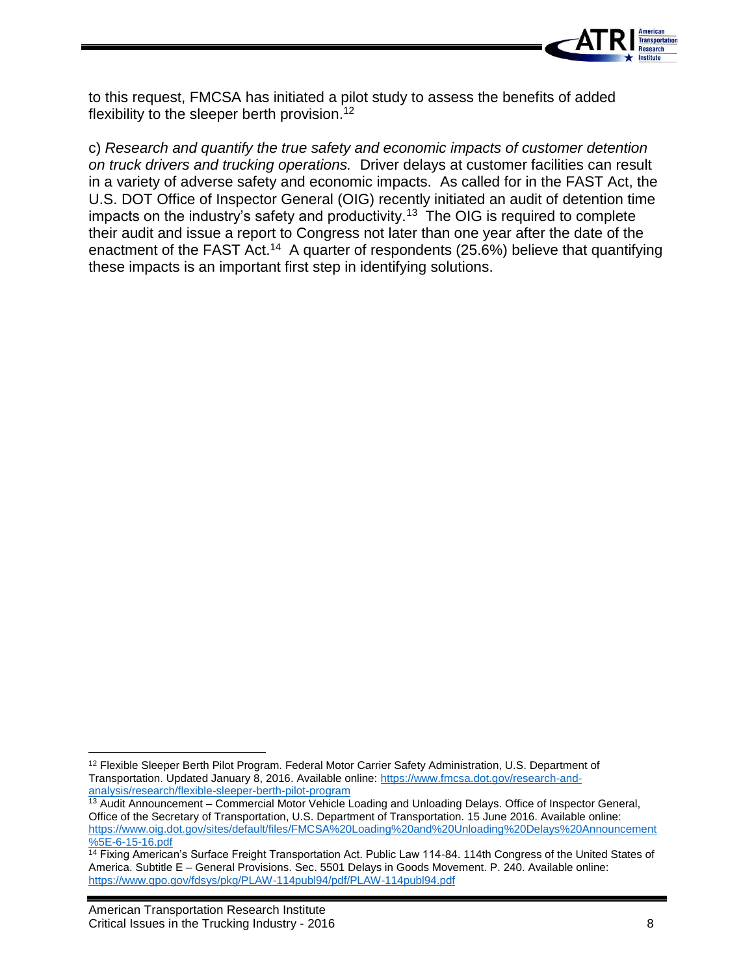

to this request, FMCSA has initiated a pilot study to assess the benefits of added flexibility to the sleeper berth provision.<sup>12</sup>

c) *Research and quantify the true safety and economic impacts of customer detention on truck drivers and trucking operations.* Driver delays at customer facilities can result in a variety of adverse safety and economic impacts. As called for in the FAST Act, the U.S. DOT Office of Inspector General (OIG) recently initiated an audit of detention time impacts on the industry's safety and productivity.<sup>13</sup> The OIG is required to complete their audit and issue a report to Congress not later than one year after the date of the enactment of the FAST Act.<sup>14</sup> A quarter of respondents (25.6%) believe that quantifying these impacts is an important first step in identifying solutions.

 $\overline{\phantom{a}}$ <sup>12</sup> Flexible Sleeper Berth Pilot Program. Federal Motor Carrier Safety Administration, U.S. Department of Transportation. Updated January 8, 2016. Available online: [https://www.fmcsa.dot.gov/research-and](https://www.fmcsa.dot.gov/research-and-analysis/research/flexible-sleeper-berth-pilot-program)[analysis/research/flexible-sleeper-berth-pilot-program](https://www.fmcsa.dot.gov/research-and-analysis/research/flexible-sleeper-berth-pilot-program)

<sup>&</sup>lt;sup>13</sup> Audit Announcement – Commercial Motor Vehicle Loading and Unloading Delays. Office of Inspector General, Office of the Secretary of Transportation, U.S. Department of Transportation. 15 June 2016. Available online: [https://www.oig.dot.gov/sites/default/files/FMCSA%20Loading%20and%20Unloading%20Delays%20Announcement](https://www.oig.dot.gov/sites/default/files/FMCSA%20Loading%20and%20Unloading%20Delays%20Announcement%5E-6-15-16.pdf) [%5E-6-15-16.pdf](https://www.oig.dot.gov/sites/default/files/FMCSA%20Loading%20and%20Unloading%20Delays%20Announcement%5E-6-15-16.pdf)

<sup>&</sup>lt;sup>14</sup> Fixing American's Surface Freight Transportation Act. Public Law 114-84. 114th Congress of the United States of America. Subtitle E – General Provisions. Sec. 5501 Delays in Goods Movement. P. 240. Available online: <https://www.gpo.gov/fdsys/pkg/PLAW-114publ94/pdf/PLAW-114publ94.pdf>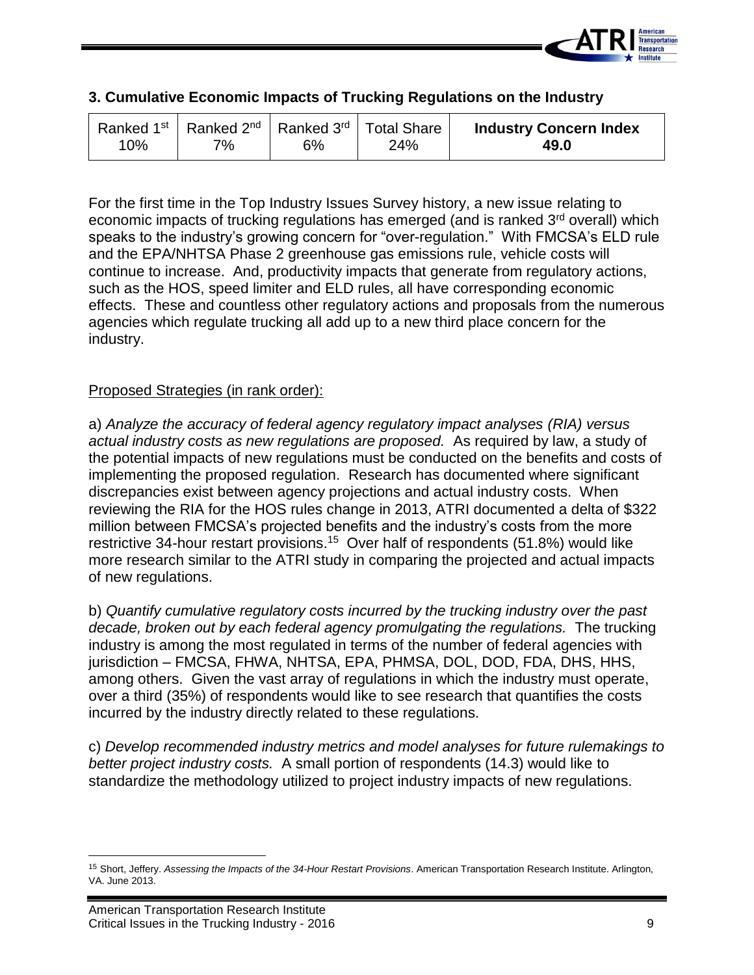

| 3. Cumulative Economic Impacts of Trucking Regulations on the Industry |  |  |  |  |  |  |
|------------------------------------------------------------------------|--|--|--|--|--|--|
|------------------------------------------------------------------------|--|--|--|--|--|--|

For the first time in the Top Industry Issues Survey history, a new issue relating to economic impacts of trucking regulations has emerged (and is ranked 3<sup>rd</sup> overall) which speaks to the industry's growing concern for "over-regulation." With FMCSA's ELD rule and the EPA/NHTSA Phase 2 greenhouse gas emissions rule, vehicle costs will continue to increase. And, productivity impacts that generate from regulatory actions, such as the HOS, speed limiter and ELD rules, all have corresponding economic effects. These and countless other regulatory actions and proposals from the numerous agencies which regulate trucking all add up to a new third place concern for the industry.

## Proposed Strategies (in rank order):

a) *Analyze the accuracy of federal agency regulatory impact analyses (RIA) versus actual industry costs as new regulations are proposed.* As required by law, a study of the potential impacts of new regulations must be conducted on the benefits and costs of implementing the proposed regulation. Research has documented where significant discrepancies exist between agency projections and actual industry costs. When reviewing the RIA for the HOS rules change in 2013, ATRI documented a delta of \$322 million between FMCSA's projected benefits and the industry's costs from the more restrictive 34-hour restart provisions.<sup>15</sup> Over half of respondents (51.8%) would like more research similar to the ATRI study in comparing the projected and actual impacts of new regulations.

b) *Quantify cumulative regulatory costs incurred by the trucking industry over the past decade, broken out by each federal agency promulgating the regulations.* The trucking industry is among the most regulated in terms of the number of federal agencies with jurisdiction – FMCSA, FHWA, NHTSA, EPA, PHMSA, DOL, DOD, FDA, DHS, HHS, among others. Given the vast array of regulations in which the industry must operate, over a third (35%) of respondents would like to see research that quantifies the costs incurred by the industry directly related to these regulations.

c) *Develop recommended industry metrics and model analyses for future rulemakings to better project industry costs.* A small portion of respondents (14.3) would like to standardize the methodology utilized to project industry impacts of new regulations.

 $\overline{a}$ 

<sup>15</sup> Short, Jeffery. *Assessing the Impacts of the 34-Hour Restart Provisions*. American Transportation Research Institute. Arlington, VA. June 2013.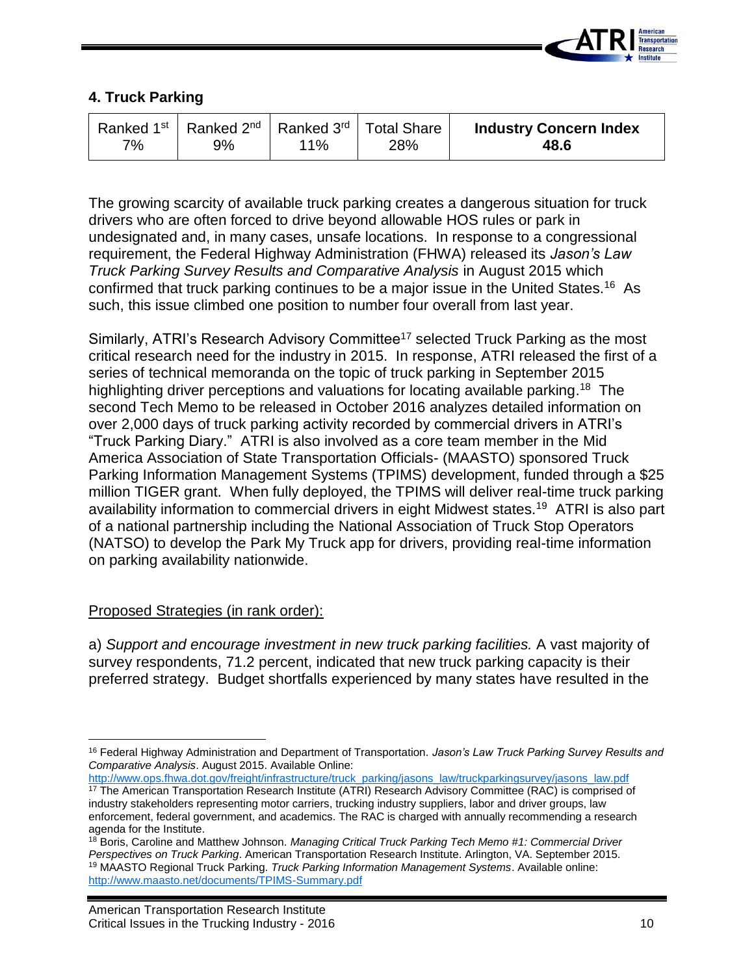

## **4. Truck Parking**

| 7% | Ranked 1 <sup>st</sup>   Ranked 2 <sup>nd</sup>   Ranked 3 <sup>rd</sup>   Total Share<br>9% | $11\%$ | 28% | <b>Industry Concern Index</b><br>48.6 |
|----|----------------------------------------------------------------------------------------------|--------|-----|---------------------------------------|
|----|----------------------------------------------------------------------------------------------|--------|-----|---------------------------------------|

The growing scarcity of available truck parking creates a dangerous situation for truck drivers who are often forced to drive beyond allowable HOS rules or park in undesignated and, in many cases, unsafe locations. In response to a congressional requirement, the Federal Highway Administration (FHWA) released its *Jason's Law Truck Parking Survey Results and Comparative Analysis* in August 2015 which confirmed that truck parking continues to be a major issue in the United States.<sup>16</sup> As such, this issue climbed one position to number four overall from last year.

Similarly, ATRI's Research Advisory Committee<sup>17</sup> selected Truck Parking as the most critical research need for the industry in 2015. In response, ATRI released the first of a series of technical memoranda on the topic of truck parking in September 2015 highlighting driver perceptions and valuations for locating available parking.<sup>18</sup> The second Tech Memo to be released in October 2016 analyzes detailed information on over 2,000 days of truck parking activity recorded by commercial drivers in ATRI's "Truck Parking Diary." ATRI is also involved as a core team member in the Mid America Association of State Transportation Officials- (MAASTO) sponsored Truck Parking Information Management Systems (TPIMS) development, funded through a \$25 million TIGER grant. When fully deployed, the TPIMS will deliver real-time truck parking availability information to commercial drivers in eight Midwest states.<sup>19</sup> ATRI is also part of a national partnership including the National Association of Truck Stop Operators (NATSO) to develop the Park My Truck app for drivers, providing real-time information on parking availability nationwide.

## Proposed Strategies (in rank order):

a) *Support and encourage investment in new truck parking facilities.* A vast majority of survey respondents, 71.2 percent, indicated that new truck parking capacity is their preferred strategy. Budget shortfalls experienced by many states have resulted in the

[http://www.ops.fhwa.dot.gov/freight/infrastructure/truck\\_parking/jasons\\_law/truckparkingsurvey/jasons\\_law.pdf](http://www.ops.fhwa.dot.gov/freight/infrastructure/truck_parking/jasons_law/truckparkingsurvey/jasons_law.pdf)

 $\overline{\phantom{a}}$ <sup>16</sup> Federal Highway Administration and Department of Transportation. *Jason's Law Truck Parking Survey Results and Comparative Analysis*. August 2015. Available Online:

<sup>&</sup>lt;sup>17</sup> The American Transportation Research Institute (ATRI) Research Advisory Committee (RAC) is comprised of industry stakeholders representing motor carriers, trucking industry suppliers, labor and driver groups, law enforcement, federal government, and academics. The RAC is charged with annually recommending a research agenda for the Institute.

<sup>18</sup> Boris, Caroline and Matthew Johnson. *Managing Critical Truck Parking Tech Memo #1: Commercial Driver Perspectives on Truck Parking*. American Transportation Research Institute. Arlington, VA. September 2015. <sup>19</sup> MAASTO Regional Truck Parking. *Truck Parking Information Management Systems*. Available online: <http://www.maasto.net/documents/TPIMS-Summary.pdf>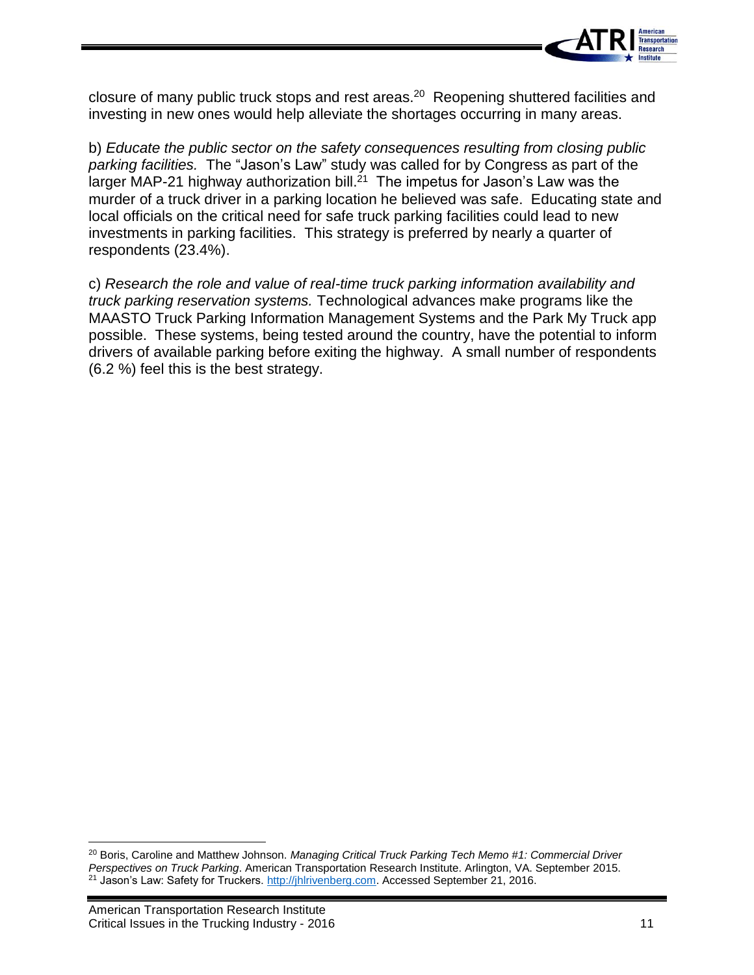

closure of many public truck stops and rest areas.<sup>20</sup> Reopening shuttered facilities and investing in new ones would help alleviate the shortages occurring in many areas.

b) *Educate the public sector on the safety consequences resulting from closing public parking facilities.* The "Jason's Law" study was called for by Congress as part of the larger MAP-21 highway authorization bill. $^{21}$  The impetus for Jason's Law was the murder of a truck driver in a parking location he believed was safe. Educating state and local officials on the critical need for safe truck parking facilities could lead to new investments in parking facilities. This strategy is preferred by nearly a quarter of respondents (23.4%).

c) *Research the role and value of real-time truck parking information availability and truck parking reservation systems.* Technological advances make programs like the MAASTO Truck Parking Information Management Systems and the Park My Truck app possible. These systems, being tested around the country, have the potential to inform drivers of available parking before exiting the highway. A small number of respondents (6.2 %) feel this is the best strategy.

 $\overline{\phantom{a}}$ 

<sup>20</sup> Boris, Caroline and Matthew Johnson. *Managing Critical Truck Parking Tech Memo #1: Commercial Driver Perspectives on Truck Parking*. American Transportation Research Institute. Arlington, VA. September 2015. <sup>21</sup> Jason's Law: Safety for Truckers[. http://jhlrivenberg.com.](http://jhlrivenberg.com/) Accessed September 21, 2016.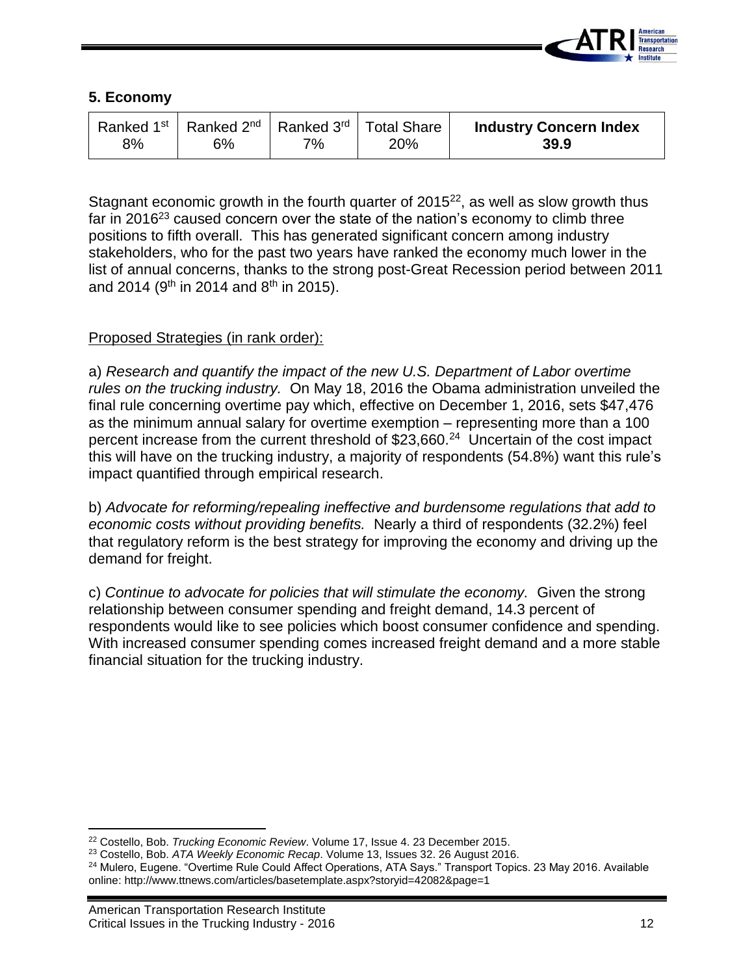

#### **5. Economy**

| 8% | Ranked 1 <sup>st</sup> Ranked 2 <sup>nd</sup> Ranked 3 <sup>rd</sup> Total Share<br>S% | 7% | 20% | <b>Industry Concern Index</b><br>39.9 |
|----|----------------------------------------------------------------------------------------|----|-----|---------------------------------------|
|----|----------------------------------------------------------------------------------------|----|-----|---------------------------------------|

Stagnant economic growth in the fourth quarter of  $2015^{22}$ , as well as slow growth thus far in 2016<sup>23</sup> caused concern over the state of the nation's economy to climb three positions to fifth overall. This has generated significant concern among industry stakeholders, who for the past two years have ranked the economy much lower in the list of annual concerns, thanks to the strong post-Great Recession period between 2011 and 2014 (9<sup>th</sup> in 2014 and 8<sup>th</sup> in 2015).

## Proposed Strategies (in rank order):

a) *Research and quantify the impact of the new U.S. Department of Labor overtime rules on the trucking industry.* On May 18, 2016 the Obama administration unveiled the final rule concerning overtime pay which, effective on December 1, 2016, sets \$47,476 as the minimum annual salary for overtime exemption – representing more than a 100 percent increase from the current threshold of \$23,660.<sup>24</sup> Uncertain of the cost impact this will have on the trucking industry, a majority of respondents (54.8%) want this rule's impact quantified through empirical research.

b) *Advocate for reforming/repealing ineffective and burdensome regulations that add to economic costs without providing benefits.* Nearly a third of respondents (32.2%) feel that regulatory reform is the best strategy for improving the economy and driving up the demand for freight.

c) *Continue to advocate for policies that will stimulate the economy.* Given the strong relationship between consumer spending and freight demand, 14.3 percent of respondents would like to see policies which boost consumer confidence and spending. With increased consumer spending comes increased freight demand and a more stable financial situation for the trucking industry.

 $\overline{\phantom{a}}$ 

<sup>22</sup> Costello, Bob. *Trucking Economic Review*. Volume 17, Issue 4. 23 December 2015.

<sup>23</sup> Costello, Bob. *ATA Weekly Economic Recap*. Volume 13, Issues 32. 26 August 2016.

<sup>&</sup>lt;sup>24</sup> Mulero, Eugene. "Overtime Rule Could Affect Operations, ATA Says." Transport Topics. 23 May 2016. Available online: http://www.ttnews.com/articles/basetemplate.aspx?storyid=42082&page=1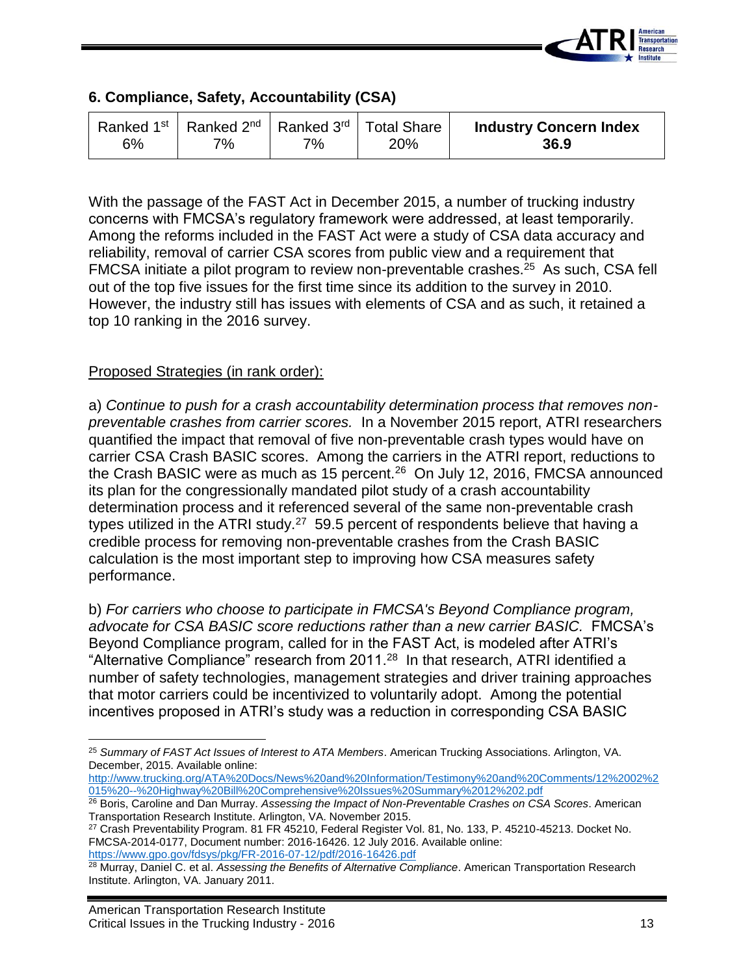

## **6. Compliance, Safety, Accountability (CSA)**

| 6% | Ranked 1 <sup>st</sup>   Ranked 2 <sup>nd</sup>   Ranked 3 <sup>rd</sup>   Total Share  <br>7% | 7% | 20% | <b>Industry Concern Index</b><br>36.9 |
|----|------------------------------------------------------------------------------------------------|----|-----|---------------------------------------|
|----|------------------------------------------------------------------------------------------------|----|-----|---------------------------------------|

With the passage of the FAST Act in December 2015, a number of trucking industry concerns with FMCSA's regulatory framework were addressed, at least temporarily. Among the reforms included in the FAST Act were a study of CSA data accuracy and reliability, removal of carrier CSA scores from public view and a requirement that FMCSA initiate a pilot program to review non-preventable crashes.<sup>25</sup> As such, CSA fell out of the top five issues for the first time since its addition to the survey in 2010. However, the industry still has issues with elements of CSA and as such, it retained a top 10 ranking in the 2016 survey.

#### Proposed Strategies (in rank order):

a) *Continue to push for a crash accountability determination process that removes nonpreventable crashes from carrier scores.* In a November 2015 report, ATRI researchers quantified the impact that removal of five non-preventable crash types would have on carrier CSA Crash BASIC scores. Among the carriers in the ATRI report, reductions to the Crash BASIC were as much as 15 percent.<sup>26</sup> On July 12, 2016, FMCSA announced its plan for the congressionally mandated pilot study of a crash accountability determination process and it referenced several of the same non-preventable crash types utilized in the ATRI study.<sup>27</sup> 59.5 percent of respondents believe that having a credible process for removing non-preventable crashes from the Crash BASIC calculation is the most important step to improving how CSA measures safety performance.

b) *For carriers who choose to participate in FMCSA's Beyond Compliance program, advocate for CSA BASIC score reductions rather than a new carrier BASIC.* FMCSA's Beyond Compliance program, called for in the FAST Act, is modeled after ATRI's "Alternative Compliance" research from 2011.<sup>28</sup> In that research, ATRI identified a number of safety technologies, management strategies and driver training approaches that motor carriers could be incentivized to voluntarily adopt. Among the potential incentives proposed in ATRI's study was a reduction in corresponding CSA BASIC

 $\overline{\phantom{a}}$ <sup>25</sup> *Summary of FAST Act Issues of Interest to ATA Members*. American Trucking Associations. Arlington, VA. December, 2015. Available online:

[http://www.trucking.org/ATA%20Docs/News%20and%20Information/Testimony%20and%20Comments/12%2002%2](http://www.trucking.org/ATA%20Docs/News%20and%20Information/Testimony%20and%20Comments/12%2002%2015%20--%20Highway%20Bill%20Comprehensive%20Issues%20Summary%2012%202.pdf) [015%20--%20Highway%20Bill%20Comprehensive%20Issues%20Summary%2012%202.pdf](http://www.trucking.org/ATA%20Docs/News%20and%20Information/Testimony%20and%20Comments/12%2002%2015%20--%20Highway%20Bill%20Comprehensive%20Issues%20Summary%2012%202.pdf)

<sup>26</sup> Boris, Caroline and Dan Murray. *Assessing the Impact of Non-Preventable Crashes on CSA Scores*. American Transportation Research Institute. Arlington, VA. November 2015.

<sup>27</sup> Crash Preventability Program. 81 FR 45210, Federal Register Vol. 81, No. 133, P. 45210-45213. Docket No. FMCSA-2014-0177, Document number: 2016-16426. 12 July 2016. Available online: <https://www.gpo.gov/fdsys/pkg/FR-2016-07-12/pdf/2016-16426.pdf>

<sup>28</sup> Murray, Daniel C. et al. *Assessing the Benefits of Alternative Compliance*. American Transportation Research Institute. Arlington, VA. January 2011.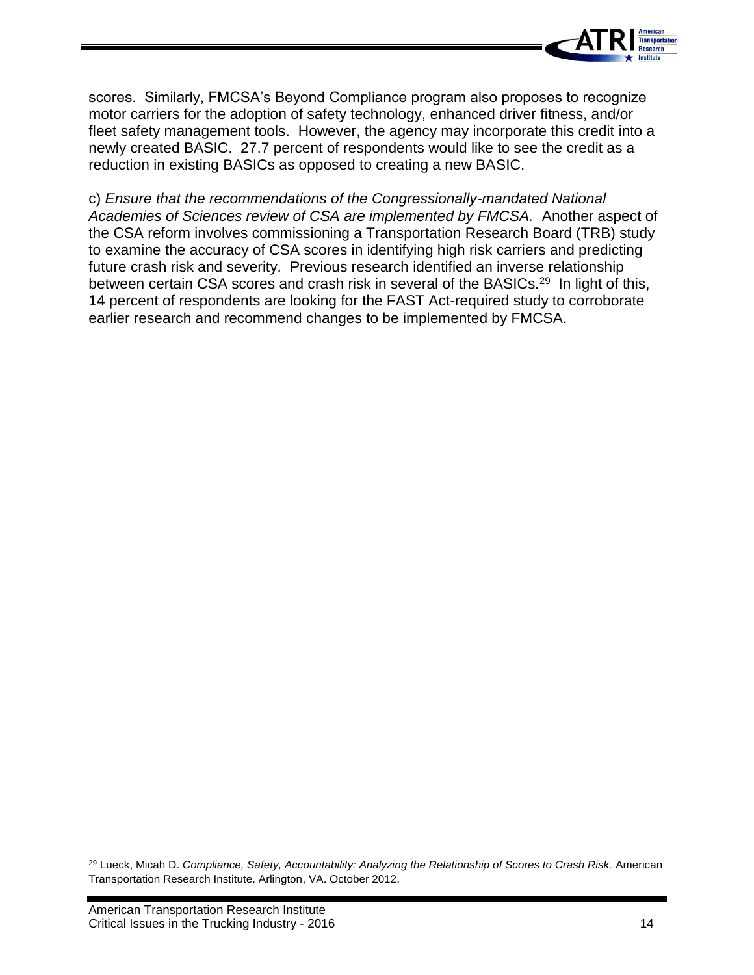

scores. Similarly, FMCSA's Beyond Compliance program also proposes to recognize motor carriers for the adoption of safety technology, enhanced driver fitness, and/or fleet safety management tools. However, the agency may incorporate this credit into a newly created BASIC. 27.7 percent of respondents would like to see the credit as a reduction in existing BASICs as opposed to creating a new BASIC.

c) *Ensure that the recommendations of the Congressionally-mandated National Academies of Sciences review of CSA are implemented by FMCSA.* Another aspect of the CSA reform involves commissioning a Transportation Research Board (TRB) study to examine the accuracy of CSA scores in identifying high risk carriers and predicting future crash risk and severity. Previous research identified an inverse relationship between certain CSA scores and crash risk in several of the BASICs.<sup>29</sup> In light of this, 14 percent of respondents are looking for the FAST Act-required study to corroborate earlier research and recommend changes to be implemented by FMCSA.

 $\overline{a}$ 

<sup>29</sup> Lueck, Micah D. *Compliance, Safety, Accountability: Analyzing the Relationship of Scores to Crash Risk.* American Transportation Research Institute. Arlington, VA. October 2012.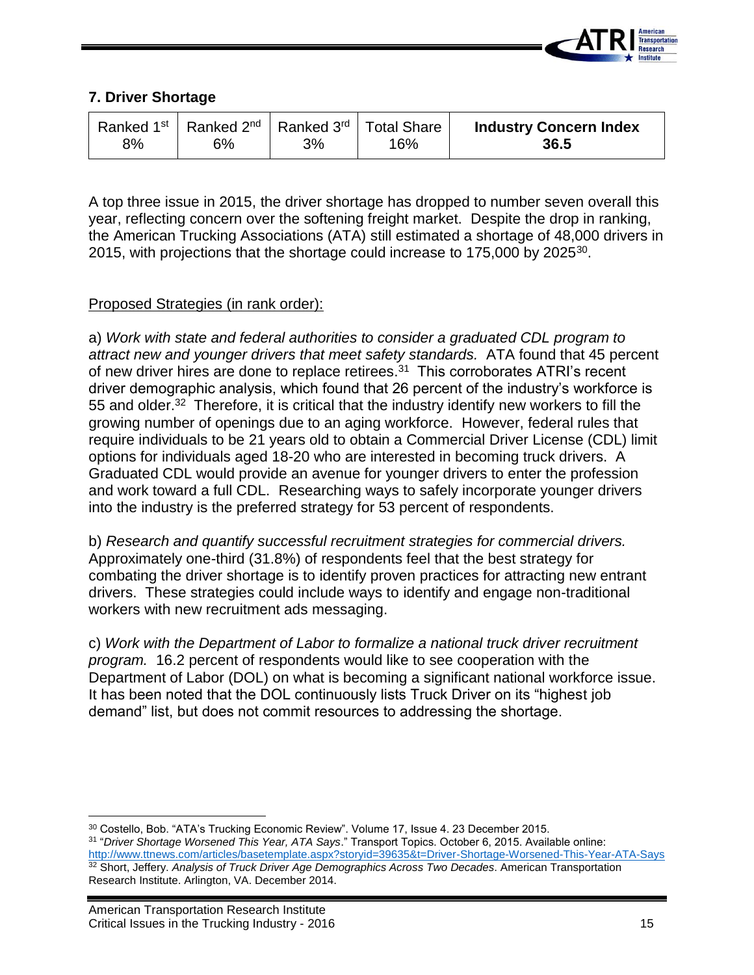

## **7. Driver Shortage**

| 8% | Ranked 1 <sup>st</sup>   Ranked 2 <sup>nd</sup>   Ranked 3 <sup>rd</sup>   Total Share<br><u>   ና%</u><br>3% | <b>Industry Concern Index</b><br>36.5 | 16% |  |  |
|----|--------------------------------------------------------------------------------------------------------------|---------------------------------------|-----|--|--|
|----|--------------------------------------------------------------------------------------------------------------|---------------------------------------|-----|--|--|

A top three issue in 2015, the driver shortage has dropped to number seven overall this year, reflecting concern over the softening freight market. Despite the drop in ranking, the American Trucking Associations (ATA) still estimated a shortage of 48,000 drivers in 2015, with projections that the shortage could increase to 175,000 by 2025 $^{30}$ .

## Proposed Strategies (in rank order):

a) *Work with state and federal authorities to consider a graduated CDL program to attract new and younger drivers that meet safety standards.* ATA found that 45 percent of new driver hires are done to replace retirees.<sup>31</sup> This corroborates ATRI's recent driver demographic analysis, which found that 26 percent of the industry's workforce is 55 and older.<sup>32</sup> Therefore, it is critical that the industry identify new workers to fill the growing number of openings due to an aging workforce. However, federal rules that require individuals to be 21 years old to obtain a Commercial Driver License (CDL) limit options for individuals aged 18-20 who are interested in becoming truck drivers. A Graduated CDL would provide an avenue for younger drivers to enter the profession and work toward a full CDL. Researching ways to safely incorporate younger drivers into the industry is the preferred strategy for 53 percent of respondents.

b) *Research and quantify successful recruitment strategies for commercial drivers.* Approximately one-third (31.8%) of respondents feel that the best strategy for combating the driver shortage is to identify proven practices for attracting new entrant drivers. These strategies could include ways to identify and engage non-traditional workers with new recruitment ads messaging.

c) *Work with the Department of Labor to formalize a national truck driver recruitment program.* 16.2 percent of respondents would like to see cooperation with the Department of Labor (DOL) on what is becoming a significant national workforce issue. It has been noted that the DOL continuously lists Truck Driver on its "highest job demand" list, but does not commit resources to addressing the shortage.

l <sup>30</sup> Costello, Bob. "ATA's Trucking Economic Review". Volume 17, Issue 4. 23 December 2015.

<sup>31</sup> "*Driver Shortage Worsened This Year, ATA Says*." Transport Topics. October 6, 2015. Available online: <http://www.ttnews.com/articles/basetemplate.aspx?storyid=39635&t=Driver-Shortage-Worsened-This-Year-ATA-Says> <sup>32</sup> Short, Jeffery. Analysis of Truck Driver Age Demographics Across Two Decades. American Transportation Research Institute. Arlington, VA. December 2014.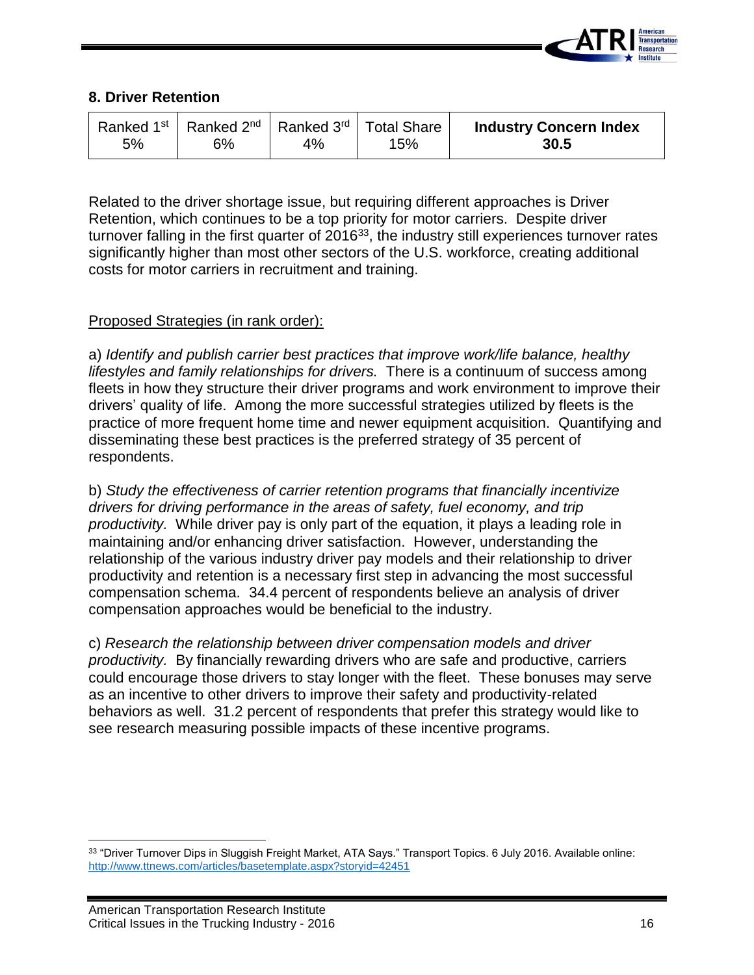

#### **8. Driver Retention**

| 5% | Ranked 1 <sup>st</sup>   Ranked 2 <sup>nd</sup>   Ranked 3 <sup>rd</sup>   Total Share<br>6% | 4% | 15% | <b>Industry Concern Index</b><br>30.5 |
|----|----------------------------------------------------------------------------------------------|----|-----|---------------------------------------|
|----|----------------------------------------------------------------------------------------------|----|-----|---------------------------------------|

Related to the driver shortage issue, but requiring different approaches is Driver Retention, which continues to be a top priority for motor carriers. Despite driver turnover falling in the first quarter of  $2016^{33}$ , the industry still experiences turnover rates significantly higher than most other sectors of the U.S. workforce, creating additional costs for motor carriers in recruitment and training.

#### Proposed Strategies (in rank order):

a) *Identify and publish carrier best practices that improve work/life balance, healthy lifestyles and family relationships for drivers.* There is a continuum of success among fleets in how they structure their driver programs and work environment to improve their drivers' quality of life. Among the more successful strategies utilized by fleets is the practice of more frequent home time and newer equipment acquisition. Quantifying and disseminating these best practices is the preferred strategy of 35 percent of respondents.

b) *Study the effectiveness of carrier retention programs that financially incentivize drivers for driving performance in the areas of safety, fuel economy, and trip productivity.* While driver pay is only part of the equation, it plays a leading role in maintaining and/or enhancing driver satisfaction. However, understanding the relationship of the various industry driver pay models and their relationship to driver productivity and retention is a necessary first step in advancing the most successful compensation schema. 34.4 percent of respondents believe an analysis of driver compensation approaches would be beneficial to the industry.

c) *Research the relationship between driver compensation models and driver productivity.* By financially rewarding drivers who are safe and productive, carriers could encourage those drivers to stay longer with the fleet. These bonuses may serve as an incentive to other drivers to improve their safety and productivity-related behaviors as well. 31.2 percent of respondents that prefer this strategy would like to see research measuring possible impacts of these incentive programs.

 $\overline{\phantom{a}}$ 33 "Driver Turnover Dips in Sluggish Freight Market, ATA Says." Transport Topics. 6 July 2016. Available online: <http://www.ttnews.com/articles/basetemplate.aspx?storyid=42451>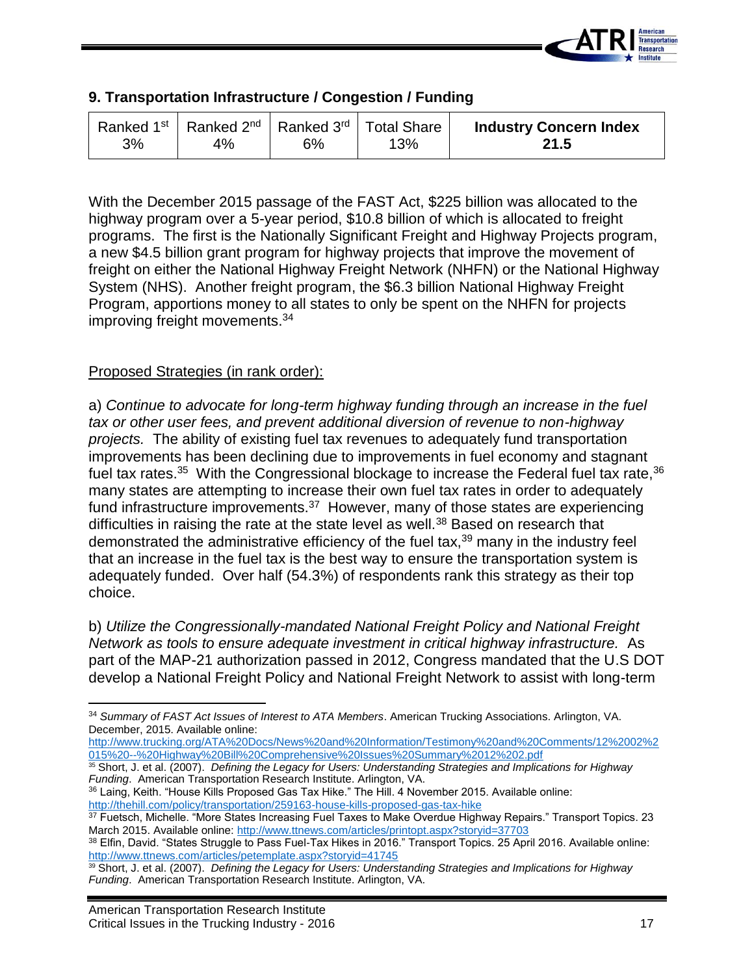

## **9. Transportation Infrastructure / Congestion / Funding**

With the December 2015 passage of the FAST Act, \$225 billion was allocated to the highway program over a 5-year period, \$10.8 billion of which is allocated to freight programs. The first is the Nationally Significant Freight and Highway Projects program, a new \$4.5 billion grant program for highway projects that improve the movement of freight on either the National Highway Freight Network (NHFN) or the National Highway System (NHS). Another freight program, the \$6.3 billion National Highway Freight Program, apportions money to all states to only be spent on the NHFN for projects improving freight movements.<sup>34</sup>

## Proposed Strategies (in rank order):

a) *Continue to advocate for long-term highway funding through an increase in the fuel tax or other user fees, and prevent additional diversion of revenue to non-highway projects.* The ability of existing fuel tax revenues to adequately fund transportation improvements has been declining due to improvements in fuel economy and stagnant fuel tax rates.<sup>35</sup> With the Congressional blockage to increase the Federal fuel tax rate,<sup>36</sup> many states are attempting to increase their own fuel tax rates in order to adequately fund infrastructure improvements.<sup>37</sup> However, many of those states are experiencing difficulties in raising the rate at the state level as well.<sup>38</sup> Based on research that demonstrated the administrative efficiency of the fuel tax,<sup>39</sup> many in the industry feel that an increase in the fuel tax is the best way to ensure the transportation system is adequately funded. Over half (54.3%) of respondents rank this strategy as their top choice.

b) *Utilize the Congressionally-mandated National Freight Policy and National Freight Network as tools to ensure adequate investment in critical highway infrastructure.* As part of the MAP-21 authorization passed in 2012, Congress mandated that the U.S DOT develop a National Freight Policy and National Freight Network to assist with long-term

[http://www.trucking.org/ATA%20Docs/News%20and%20Information/Testimony%20and%20Comments/12%2002%2](http://www.trucking.org/ATA%20Docs/News%20and%20Information/Testimony%20and%20Comments/12%2002%2015%20--%20Highway%20Bill%20Comprehensive%20Issues%20Summary%2012%202.pdf) [015%20--%20Highway%20Bill%20Comprehensive%20Issues%20Summary%2012%202.pdf](http://www.trucking.org/ATA%20Docs/News%20and%20Information/Testimony%20and%20Comments/12%2002%2015%20--%20Highway%20Bill%20Comprehensive%20Issues%20Summary%2012%202.pdf)

36 Laing, Keith. "House Kills Proposed Gas Tax Hike." The Hill. 4 November 2015. Available online: <http://thehill.com/policy/transportation/259163-house-kills-proposed-gas-tax-hike>

 $\overline{\phantom{a}}$ <sup>34</sup> *Summary of FAST Act Issues of Interest to ATA Members*. American Trucking Associations. Arlington, VA. December, 2015. Available online:

<sup>35</sup> Short, J. et al. (2007). *Defining the Legacy for Users: Understanding Strategies and Implications for Highway Funding*. American Transportation Research Institute. Arlington, VA.

<sup>&</sup>lt;sup>37</sup> Fuetsch, Michelle. "More States Increasing Fuel Taxes to Make Overdue Highway Repairs." Transport Topics. 23 March 2015. Available online[: http://www.ttnews.com/articles/printopt.aspx?storyid=37703](http://www.ttnews.com/articles/printopt.aspx?storyid=37703)

<sup>38</sup> Elfin, David. "States Struggle to Pass Fuel-Tax Hikes in 2016." Transport Topics. 25 April 2016. Available online: <http://www.ttnews.com/articles/petemplate.aspx?storyid=41745>

<sup>39</sup> Short, J. et al. (2007). *Defining the Legacy for Users: Understanding Strategies and Implications for Highway Funding*. American Transportation Research Institute. Arlington, VA.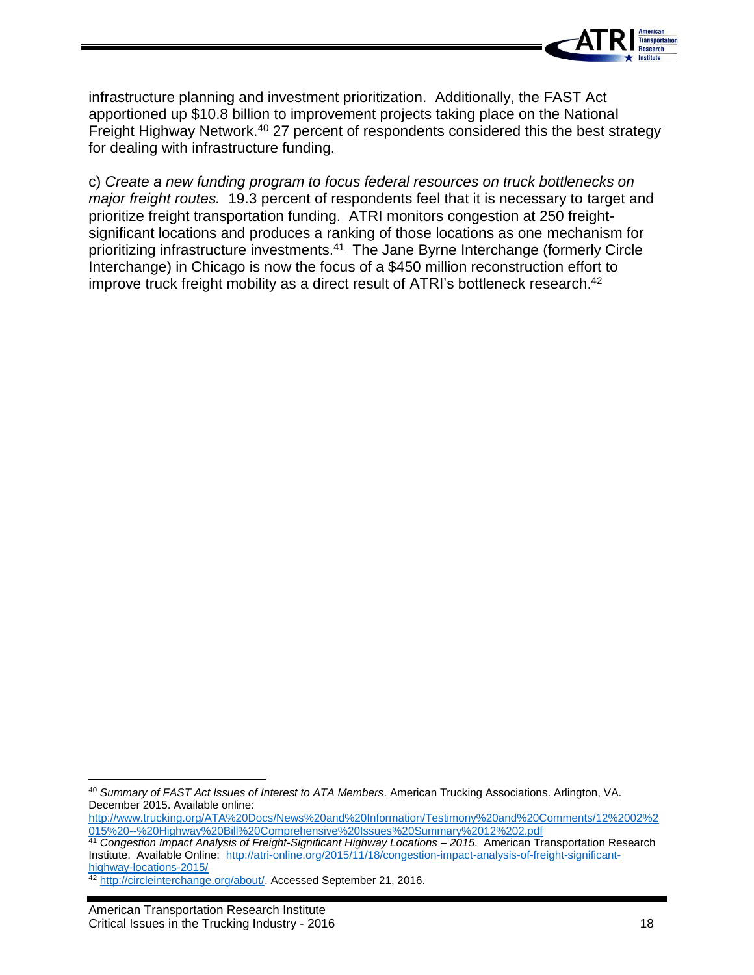

infrastructure planning and investment prioritization. Additionally, the FAST Act apportioned up \$10.8 billion to improvement projects taking place on the National Freight Highway Network.<sup>40</sup> 27 percent of respondents considered this the best strategy for dealing with infrastructure funding.

c) *Create a new funding program to focus federal resources on truck bottlenecks on major freight routes.* 19.3 percent of respondents feel that it is necessary to target and prioritize freight transportation funding. ATRI monitors congestion at 250 freightsignificant locations and produces a ranking of those locations as one mechanism for prioritizing infrastructure investments.<sup>41</sup> The Jane Byrne Interchange (formerly Circle Interchange) in Chicago is now the focus of a \$450 million reconstruction effort to improve truck freight mobility as a direct result of ATRI's bottleneck research.<sup>42</sup>

 $\overline{a}$ 

<sup>40</sup> *Summary of FAST Act Issues of Interest to ATA Members*. American Trucking Associations. Arlington, VA. December 2015. Available online:

[http://www.trucking.org/ATA%20Docs/News%20and%20Information/Testimony%20and%20Comments/12%2002%2](http://www.trucking.org/ATA%20Docs/News%20and%20Information/Testimony%20and%20Comments/12%2002%2015%20--%20Highway%20Bill%20Comprehensive%20Issues%20Summary%2012%202.pdf) [015%20--%20Highway%20Bill%20Comprehensive%20Issues%20Summary%2012%202.pdf](http://www.trucking.org/ATA%20Docs/News%20and%20Information/Testimony%20and%20Comments/12%2002%2015%20--%20Highway%20Bill%20Comprehensive%20Issues%20Summary%2012%202.pdf)

<sup>41</sup> *Congestion Impact Analysis of Freight-Significant Highway Locations – 2015*. American Transportation Research Institute. Available Online: [http://atri-online.org/2015/11/18/congestion-impact-analysis-of-freight-significant](http://atri-online.org/2015/11/18/congestion-impact-analysis-of-freight-significant-highway-locations-2015/)[highway-locations-2015/](http://atri-online.org/2015/11/18/congestion-impact-analysis-of-freight-significant-highway-locations-2015/)

<sup>42</sup> [http://circleinterchange.org/about/.](http://circleinterchange.org/about/) Accessed September 21, 2016.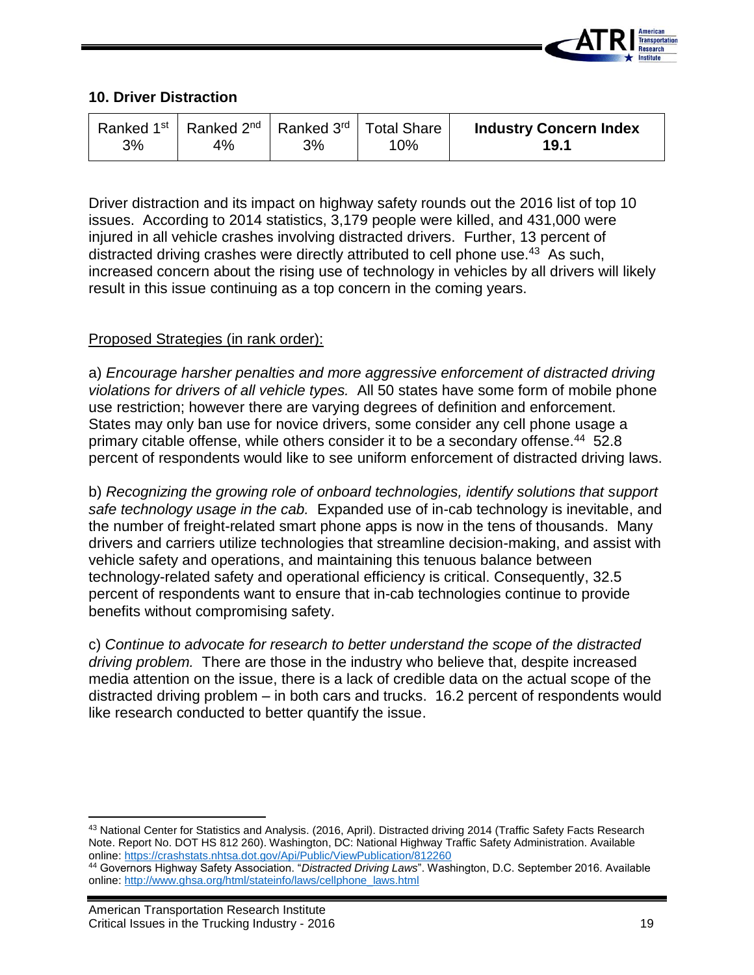

## **10. Driver Distraction**

Driver distraction and its impact on highway safety rounds out the 2016 list of top 10 issues. According to 2014 statistics, 3,179 people were killed, and 431,000 were injured in all vehicle crashes involving distracted drivers. Further, 13 percent of distracted driving crashes were directly attributed to cell phone use.<sup>43</sup> As such, increased concern about the rising use of technology in vehicles by all drivers will likely result in this issue continuing as a top concern in the coming years.

#### Proposed Strategies (in rank order):

a) *Encourage harsher penalties and more aggressive enforcement of distracted driving violations for drivers of all vehicle types.* All 50 states have some form of mobile phone use restriction; however there are varying degrees of definition and enforcement. States may only ban use for novice drivers, some consider any cell phone usage a primary citable offense, while others consider it to be a secondary offense.<sup>44</sup> 52.8 percent of respondents would like to see uniform enforcement of distracted driving laws.

b) *Recognizing the growing role of onboard technologies, identify solutions that support safe technology usage in the cab.* Expanded use of in-cab technology is inevitable, and the number of freight-related smart phone apps is now in the tens of thousands. Many drivers and carriers utilize technologies that streamline decision-making, and assist with vehicle safety and operations, and maintaining this tenuous balance between technology-related safety and operational efficiency is critical. Consequently, 32.5 percent of respondents want to ensure that in-cab technologies continue to provide benefits without compromising safety.

c) *Continue to advocate for research to better understand the scope of the distracted driving problem.* There are those in the industry who believe that, despite increased media attention on the issue, there is a lack of credible data on the actual scope of the distracted driving problem – in both cars and trucks. 16.2 percent of respondents would like research conducted to better quantify the issue.

 $\overline{\phantom{a}}$ 43 National Center for Statistics and Analysis. (2016, April). Distracted driving 2014 (Traffic Safety Facts Research Note. Report No. DOT HS 812 260). Washington, DC: National Highway Traffic Safety Administration. Available online:<https://crashstats.nhtsa.dot.gov/Api/Public/ViewPublication/812260>

<sup>44</sup> Governors Highway Safety Association. "*Distracted Driving Laws*". Washington, D.C. September 2016. Available online: [http://www.ghsa.org/html/stateinfo/laws/cellphone\\_laws.html](http://www.ghsa.org/html/stateinfo/laws/cellphone_laws.html)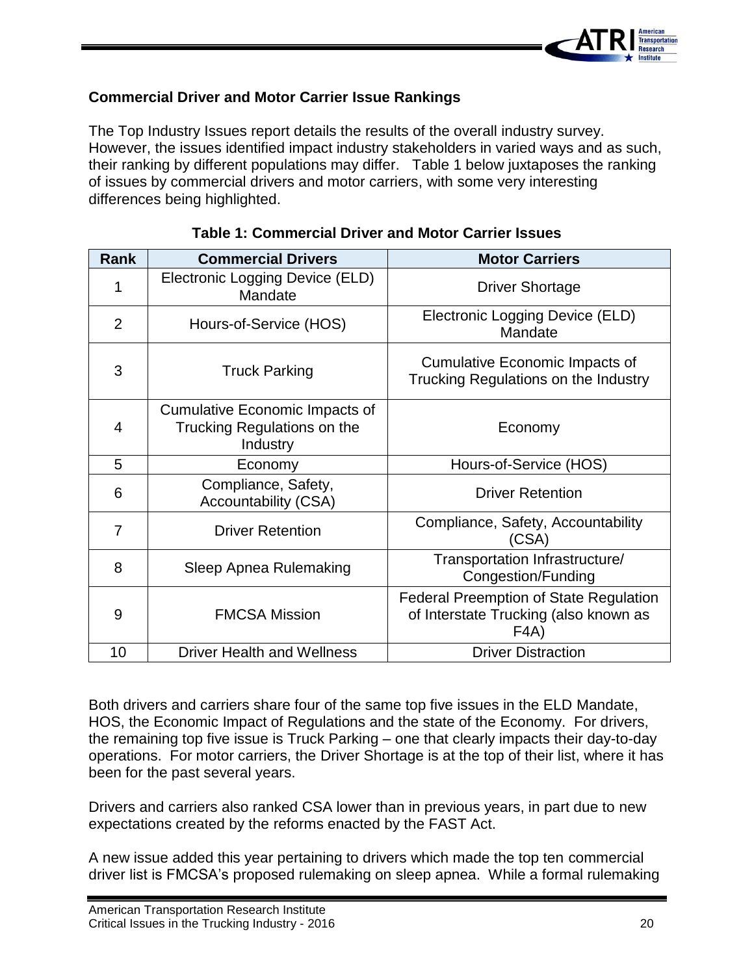

## **Commercial Driver and Motor Carrier Issue Rankings**

The Top Industry Issues report details the results of the overall industry survey. However, the issues identified impact industry stakeholders in varied ways and as such, their ranking by different populations may differ. Table 1 below juxtaposes the ranking of issues by commercial drivers and motor carriers, with some very interesting differences being highlighted.

| <b>Rank</b>    | <b>Commercial Drivers</b>                                                        | <b>Motor Carriers</b>                                                                          |
|----------------|----------------------------------------------------------------------------------|------------------------------------------------------------------------------------------------|
| 1              | Electronic Logging Device (ELD)<br>Mandate                                       | <b>Driver Shortage</b>                                                                         |
| $\overline{2}$ | Hours-of-Service (HOS)                                                           | Electronic Logging Device (ELD)<br>Mandate                                                     |
| 3              | <b>Truck Parking</b>                                                             | <b>Cumulative Economic Impacts of</b><br>Trucking Regulations on the Industry                  |
| 4              | <b>Cumulative Economic Impacts of</b><br>Trucking Regulations on the<br>Industry | Economy                                                                                        |
| 5              | Economy                                                                          | Hours-of-Service (HOS)                                                                         |
| 6              | Compliance, Safety,<br>Accountability (CSA)                                      | <b>Driver Retention</b>                                                                        |
| 7              | <b>Driver Retention</b>                                                          | Compliance, Safety, Accountability<br>(CSA)                                                    |
| 8              | Sleep Apnea Rulemaking                                                           | Transportation Infrastructure/<br>Congestion/Funding                                           |
| 9              | <b>FMCSA Mission</b>                                                             | <b>Federal Preemption of State Regulation</b><br>of Interstate Trucking (also known as<br>FAA) |
| 10             | <b>Driver Health and Wellness</b>                                                | <b>Driver Distraction</b>                                                                      |

## **Table 1: Commercial Driver and Motor Carrier Issues**

Both drivers and carriers share four of the same top five issues in the ELD Mandate, HOS, the Economic Impact of Regulations and the state of the Economy. For drivers, the remaining top five issue is Truck Parking – one that clearly impacts their day-to-day operations. For motor carriers, the Driver Shortage is at the top of their list, where it has been for the past several years.

Drivers and carriers also ranked CSA lower than in previous years, in part due to new expectations created by the reforms enacted by the FAST Act.

A new issue added this year pertaining to drivers which made the top ten commercial driver list is FMCSA's proposed rulemaking on sleep apnea. While a formal rulemaking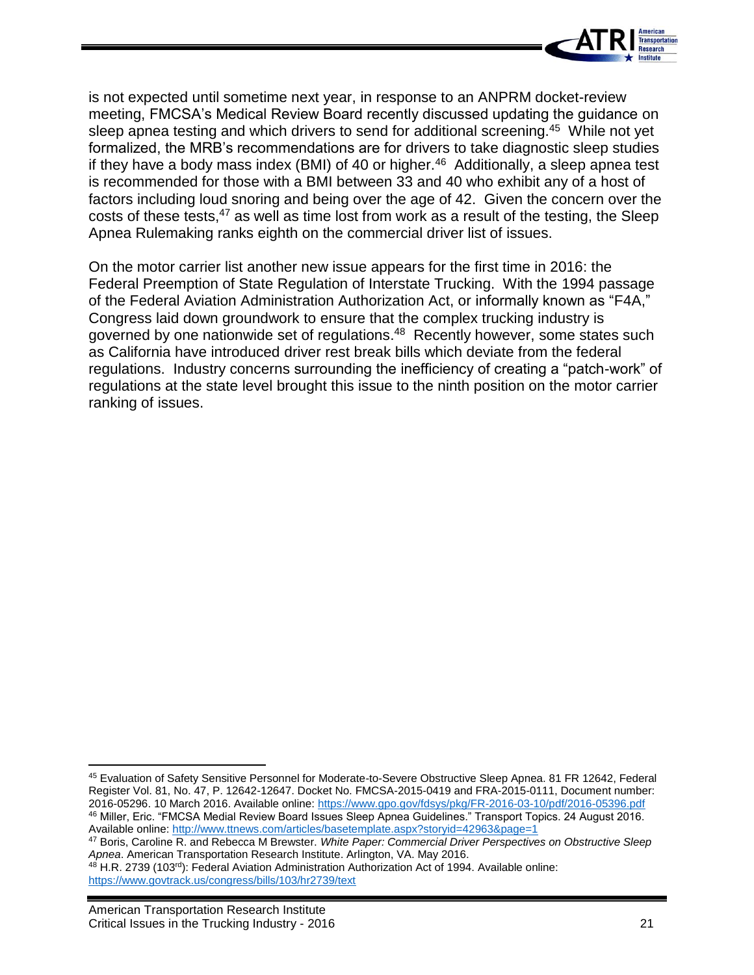

is not expected until sometime next year, in response to an ANPRM docket-review meeting, FMCSA's Medical Review Board recently discussed updating the guidance on sleep apnea testing and which drivers to send for additional screening.<sup>45</sup> While not yet formalized, the MRB's recommendations are for drivers to take diagnostic sleep studies if they have a body mass index (BMI) of 40 or higher. $46$  Additionally, a sleep apnea test is recommended for those with a BMI between 33 and 40 who exhibit any of a host of factors including loud snoring and being over the age of 42. Given the concern over the costs of these tests,<sup>47</sup> as well as time lost from work as a result of the testing, the Sleep Apnea Rulemaking ranks eighth on the commercial driver list of issues.

On the motor carrier list another new issue appears for the first time in 2016: the Federal Preemption of State Regulation of Interstate Trucking. With the 1994 passage of the Federal Aviation Administration Authorization Act, or informally known as "F4A," Congress laid down groundwork to ensure that the complex trucking industry is governed by one nationwide set of regulations.<sup>48</sup> Recently however, some states such as California have introduced driver rest break bills which deviate from the federal regulations. Industry concerns surrounding the inefficiency of creating a "patch-work" of regulations at the state level brought this issue to the ninth position on the motor carrier ranking of issues.

 $\overline{\phantom{a}}$ <sup>45</sup> Evaluation of Safety Sensitive Personnel for Moderate-to-Severe Obstructive Sleep Apnea. 81 FR 12642, Federal Register Vol. 81, No. 47, P. 12642-12647. Docket No. FMCSA-2015-0419 and FRA-2015-0111, Document number: 2016-05296. 10 March 2016. Available online:<https://www.gpo.gov/fdsys/pkg/FR-2016-03-10/pdf/2016-05396.pdf> <sup>46</sup> Miller, Eric. "FMCSA Medial Review Board Issues Sleep Apnea Guidelines." Transport Topics. 24 August 2016. Available online:<http://www.ttnews.com/articles/basetemplate.aspx?storyid=42963&page=1>

<sup>47</sup> Boris, Caroline R. and Rebecca M Brewster. *White Paper: Commercial Driver Perspectives on Obstructive Sleep Apnea*. American Transportation Research Institute. Arlington, VA. May 2016.

<sup>48</sup> H.R. 2739 (103<sup>rd</sup>): Federal Aviation Administration Authorization Act of 1994. Available online: <https://www.govtrack.us/congress/bills/103/hr2739/text>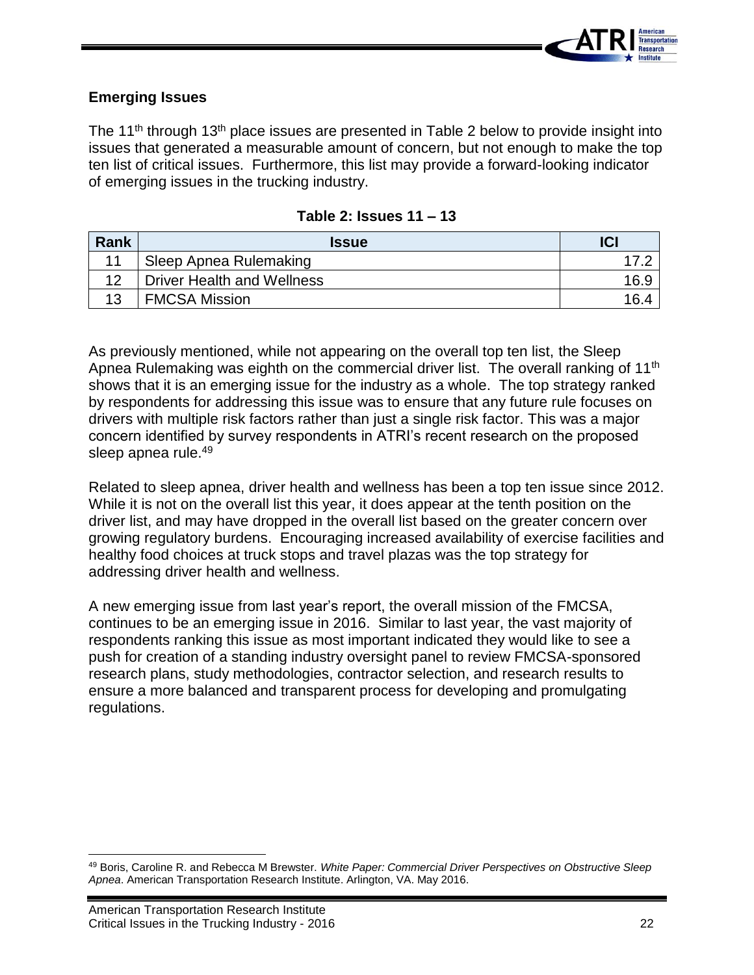

#### **Emerging Issues**

The 11<sup>th</sup> through 13<sup>th</sup> place issues are presented in Table 2 below to provide insight into issues that generated a measurable amount of concern, but not enough to make the top ten list of critical issues. Furthermore, this list may provide a forward-looking indicator of emerging issues in the trucking industry.

| Rank | <b>Issue</b>                      | ICI  |
|------|-----------------------------------|------|
| 11   | Sleep Apnea Rulemaking            |      |
|      | <b>Driver Health and Wellness</b> | 16.9 |
| 13   | <b>FMCSA Mission</b>              | 16.4 |

#### **Table 2: Issues 11 – 13**

As previously mentioned, while not appearing on the overall top ten list, the Sleep Apnea Rulemaking was eighth on the commercial driver list. The overall ranking of 11<sup>th</sup> shows that it is an emerging issue for the industry as a whole. The top strategy ranked by respondents for addressing this issue was to ensure that any future rule focuses on drivers with multiple risk factors rather than just a single risk factor. This was a major concern identified by survey respondents in ATRI's recent research on the proposed sleep apnea rule.<sup>49</sup>

Related to sleep apnea, driver health and wellness has been a top ten issue since 2012. While it is not on the overall list this year, it does appear at the tenth position on the driver list, and may have dropped in the overall list based on the greater concern over growing regulatory burdens. Encouraging increased availability of exercise facilities and healthy food choices at truck stops and travel plazas was the top strategy for addressing driver health and wellness.

A new emerging issue from last year's report, the overall mission of the FMCSA, continues to be an emerging issue in 2016. Similar to last year, the vast majority of respondents ranking this issue as most important indicated they would like to see a push for creation of a standing industry oversight panel to review FMCSA-sponsored research plans, study methodologies, contractor selection, and research results to ensure a more balanced and transparent process for developing and promulgating regulations.

 $\overline{a}$ 

<sup>49</sup> Boris, Caroline R. and Rebecca M Brewster. *White Paper: Commercial Driver Perspectives on Obstructive Sleep Apnea*. American Transportation Research Institute. Arlington, VA. May 2016.